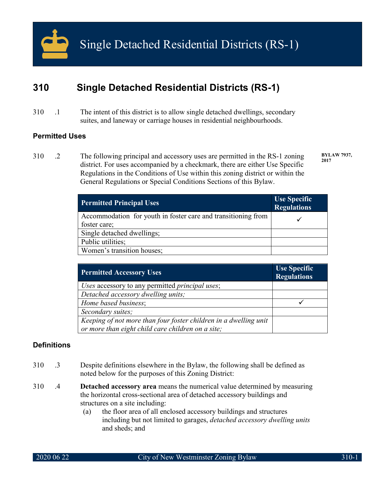

# **310 Single Detached Residential Districts (RS-1)**

310 .1 The intent of this district is to allow single detached dwellings, secondary suites, and laneway or carriage houses in residential neighbourhoods.

# **Permitted Uses**

310 .2 The following principal and accessory uses are permitted in the RS-1 zoning district. For uses accompanied by a checkmark, there are either Use Specific Regulations in the Conditions of Use within this zoning district or within the General Regulations or Special Conditions Sections of this Bylaw.

**BYLAW 7937, 2017**

| <b>Permitted Principal Uses</b>                                               | Use Specific<br><b>Regulations</b> |
|-------------------------------------------------------------------------------|------------------------------------|
| Accommodation for youth in foster care and transitioning from<br>foster care; |                                    |
| Single detached dwellings;                                                    |                                    |
| Public utilities;                                                             |                                    |
| Women's transition houses;                                                    |                                    |

| <b>Permitted Accessory Uses</b>                                  | Use Specific<br><b>Regulations</b> |
|------------------------------------------------------------------|------------------------------------|
| Uses accessory to any permitted principal uses;                  |                                    |
| Detached accessory dwelling units;                               |                                    |
| Home based business;                                             |                                    |
| Secondary suites;                                                |                                    |
| Keeping of not more than four foster children in a dwelling unit |                                    |
| or more than eight child care children on a site;                |                                    |

# **Definitions**

- 310 .3 Despite definitions elsewhere in the Bylaw, the following shall be defined as noted below for the purposes of this Zoning District:
- 310 .4 **Detached accessory area** means the numerical value determined by measuring the horizontal cross-sectional area of detached accessory buildings and structures on a site including:
	- (a) the floor area of all enclosed accessory buildings and structures including but not limited to garages, *detached accessory dwelling units* and sheds; and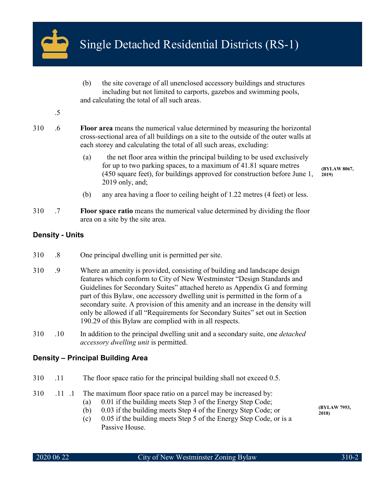

- (b) the site coverage of all unenclosed accessory buildings and structures including but not limited to carports, gazebos and swimming pools, and calculating the total of all such areas.
- .5
- 310 .6 **Floor area** means the numerical value determined by measuring the horizontal cross-sectional area of all buildings on a site to the outside of the outer walls at each storey and calculating the total of all such areas, excluding:
	- (a) the net floor area within the principal building to be used exclusively for up to two parking spaces, to a maximum of 41.81 square metres (450 square feet), for buildings approved for construction before June 1, 2019 only, and;
	- (b) any area having a floor to ceiling height of 1.22 metres (4 feet) or less.
- 310 .7 **Floor space ratio** means the numerical value determined by dividing the floor area on a site by the site area.

# **Density - Units**

- 310 .8 One principal dwelling unit is permitted per site.
- 310 .9 Where an amenity is provided, consisting of building and landscape design features which conform to City of New Westminster "Design Standards and Guidelines for Secondary Suites" attached hereto as Appendix G and forming part of this Bylaw, one accessory dwelling unit is permitted in the form of a secondary suite. A provision of this amenity and an increase in the density will only be allowed if all "Requirements for Secondary Suites" set out in Section 190.29 of this Bylaw are complied with in all respects.
- 310 .10 In addition to the principal dwelling unit and a secondary suite, one *detached accessory dwelling unit* is permitted.

# **Density – Principal Building Area**

- 310 .11 The floor space ratio for the principal building shall not exceed 0.5.
- 310 .11 .1 The maximum floor space ratio on a parcel may be increased by:
	- (a) 0.01 if the building meets Step 3 of the Energy Step Code;
	- (b) 0.03 if the building meets Step 4 of the Energy Step Code; or
	- (c) 0.05 if the building meets Step 5 of the Energy Step Code, or is a Passive House.

**(BYLAW 8067, 2019)**

**(BYLAW 7953, 2018)**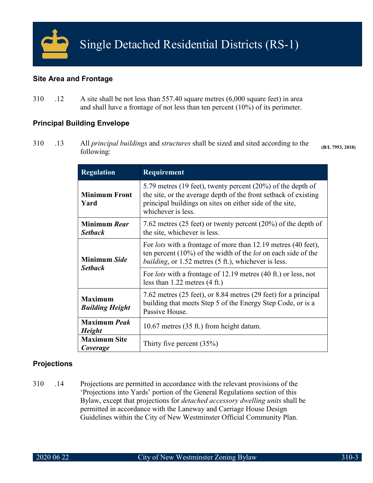

# **Site Area and Frontage**

310 .12 A site shall be not less than 557.40 square metres (6,000 square feet) in area and shall have a frontage of not less than ten percent (10%) of its perimeter.

# **Principal Building Envelope**

310 .13 All *principal buildings* and *structures* shall be sized and sited according to the following: **(B/L 7953, 2018)**

| <b>Regulation</b>                                                                                                                                                                            | <b>Requirement</b>                                                                                                                                                                                                  |  |
|----------------------------------------------------------------------------------------------------------------------------------------------------------------------------------------------|---------------------------------------------------------------------------------------------------------------------------------------------------------------------------------------------------------------------|--|
| <b>Minimum Front</b><br>Yard                                                                                                                                                                 | 5.79 metres (19 feet), twenty percent $(20\%)$ of the depth of<br>the site, or the average depth of the front setback of existing<br>principal buildings on sites on either side of the site,<br>whichever is less. |  |
| <b>Minimum Rear</b><br>7.62 metres (25 feet) or twenty percent (20%) of the depth of<br>the site, whichever is less.<br><b>Setback</b>                                                       |                                                                                                                                                                                                                     |  |
| Minimum Side                                                                                                                                                                                 | For <i>lots</i> with a frontage of more than 12.19 metres (40 feet),<br>ten percent $(10\%)$ of the width of the <i>lot</i> on each side of the<br><i>building</i> , or 1.52 metres (5 ft.), whichever is less.     |  |
| <b>Setback</b>                                                                                                                                                                               | For <i>lots</i> with a frontage of 12.19 metres (40 ft.) or less, not<br>less than $1.22$ metres $(4 \text{ ft.})$                                                                                                  |  |
| 7.62 metres (25 feet), or 8.84 metres (29 feet) for a principal<br><b>Maximum</b><br>building that meets Step 5 of the Energy Step Code, or is a<br><b>Building Height</b><br>Passive House. |                                                                                                                                                                                                                     |  |
| <b>Maximum</b> Peak<br><b>Height</b>                                                                                                                                                         | 10.67 metres (35 ft.) from height datum.                                                                                                                                                                            |  |
| <b>Maximum Site</b><br>Coverage                                                                                                                                                              | Thirty five percent $(35%)$                                                                                                                                                                                         |  |

# **Projections**

310 .14 Projections are permitted in accordance with the relevant provisions of the 'Projections into Yards' portion of the General Regulations section of this Bylaw, except that projections for *detached accessory dwelling units* shall be permitted in accordance with the Laneway and Carriage House Design Guidelines within the City of New Westminster Official Community Plan.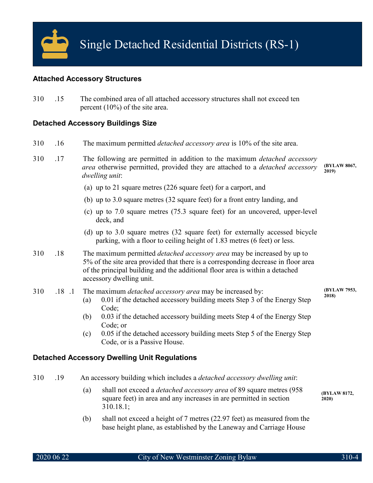

## **Attached Accessory Structures**

310 .15 The combined area of all attached accessory structures shall not exceed ten percent (10%) of the site area.

## **Detached Accessory Buildings Size**

- 310 .16 The maximum permitted *detached accessory area* is 10% of the site area.
- 310 .17 The following are permitted in addition to the maximum *detached accessory area* otherwise permitted, provided they are attached to a *detached accessory dwelling unit*: **(BYLAW 8067, 2019)**
	- (a) up to 21 square metres (226 square feet) for a carport, and
	- (b) up to 3.0 square metres (32 square feet) for a front entry landing, and
	- (c) up to 7.0 square metres (75.3 square feet) for an uncovered, upper-level deck, and
	- (d) up to 3.0 square metres (32 square feet) for externally accessed bicycle parking, with a floor to ceiling height of 1.83 metres (6 feet) or less.
- 310 .18 The maximum permitted *detached accessory area* may be increased by up to 5% of the site area provided that there is a corresponding decrease in floor area of the principal building and the additional floor area is within a detached accessory dwelling unit.

#### 310 .18 .1 The maximum *detached accessory area* may be increased by:

- (a) 0.01 if the detached accessory building meets Step 3 of the Energy Step Code;
- (b) 0.03 if the detached accessory building meets Step 4 of the Energy Step Code; or
- (c) 0.05 if the detached accessory building meets Step 5 of the Energy Step Code, or is a Passive House.

# **Detached Accessory Dwelling Unit Regulations**

- 310 .19 An accessory building which includes a *detached accessory dwelling unit*:
	- (a) shall not exceed a *detached accessory area* of 89 square metres (958 square feet) in area and any increases in are permitted in section 310.18.1; **(BYLAW 8172, 2020)**
	- (b) shall not exceed a height of 7 metres (22.97 feet) as measured from the base height plane, as established by the Laneway and Carriage House

**(BYLAW 7953, 2018)**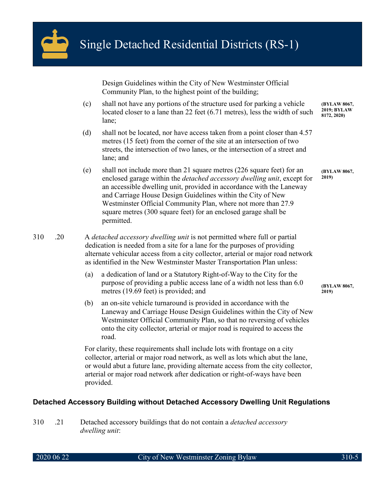

Design Guidelines within the City of New Westminster Official Community Plan, to the highest point of the building;

- (c) shall not have any portions of the structure used for parking a vehicle located closer to a lane than 22 feet (6.71 metres), less the width of such lane; **(BYLAW 8067, 2019; BYLAW 8172, 2020)**
- (d) shall not be located, nor have access taken from a point closer than 4.57 metres (15 feet) from the corner of the site at an intersection of two streets, the intersection of two lanes, or the intersection of a street and lane; and
- (e) shall not include more than 21 square metres (226 square feet) for an enclosed garage within the *detached accessory dwelling unit*, except for an accessible dwelling unit, provided in accordance with the Laneway and Carriage House Design Guidelines within the City of New Westminster Official Community Plan, where not more than 27.9 square metres (300 square feet) for an enclosed garage shall be permitted.

310 .20 A *detached accessory dwelling unit* is not permitted where full or partial dedication is needed from a site for a lane for the purposes of providing alternate vehicular access from a city collector, arterial or major road network as identified in the New Westminster Master Transportation Plan unless:

- (a) a dedication of land or a Statutory Right-of-Way to the City for the purpose of providing a public access lane of a width not less than 6.0 metres (19.69 feet) is provided; and
- (b) an on-site vehicle turnaround is provided in accordance with the Laneway and Carriage House Design Guidelines within the City of New Westminster Official Community Plan, so that no reversing of vehicles onto the city collector, arterial or major road is required to access the road.

For clarity, these requirements shall include lots with frontage on a city collector, arterial or major road network, as well as lots which abut the lane, or would abut a future lane, providing alternate access from the city collector, arterial or major road network after dedication or right-of-ways have been provided.

# **Detached Accessory Building without Detached Accessory Dwelling Unit Regulations**

310 .21 Detached accessory buildings that do not contain a *detached accessory dwelling unit*:

**(BYLAW 8067, 2019)**

**(BYLAW 8067, 2019)**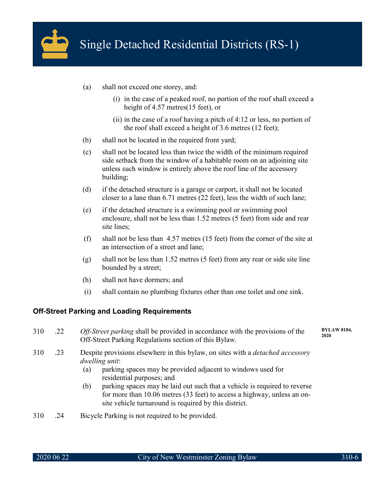

- (a) shall not exceed one storey, and:
	- (i) in the case of a peaked roof, no portion of the roof shall exceed a height of 4.57 metres(15 feet), or
	- (ii) in the case of a roof having a pitch of 4:12 or less, no portion of the roof shall exceed a height of 3.6 metres (12 feet);
- (b) shall not be located in the required front yard;
- (c) shall not be located less than twice the width of the minimum required side setback from the window of a habitable room on an adjoining site unless such window is entirely above the roof line of the accessory building;
- (d) if the detached structure is a garage or carport, it shall not be located closer to a lane than 6.71 metres (22 feet), less the width of such lane;
- (e) if the detached structure is a swimming pool or swimming pool enclosure, shall not be less than 1.52 metres (5 feet) from side and rear site lines;
- (f) shall not be less than 4.57 metres (15 feet) from the corner of the site at an intersection of a street and lane;
- (g) shall not be less than 1.52 metres (5 feet) from any rear or side site line bounded by a street;
- (h) shall not have dormers; and
- (i) shall contain no plumbing fixtures other than one toilet and one sink.

#### **Off-Street Parking and Loading Requirements**

- 310 .22 *Off-Street parking* shall be provided in accordance with the provisions of the Off-Street Parking Regulations section of this Bylaw.
- 310 .23 Despite provisions elsewhere in this bylaw, on sites with a *detached accessory dwelling unit*:
	- (a) parking spaces may be provided adjacent to windows used for residential purposes; and
	- (b) parking spaces may be laid out such that a vehicle is required to reverse for more than 10.06 metres (33 feet) to access a highway, unless an onsite vehicle turnaround is required by this district.
- 310 .24 Bicycle Parking is not required to be provided.

**BYLAW 8184, 2020**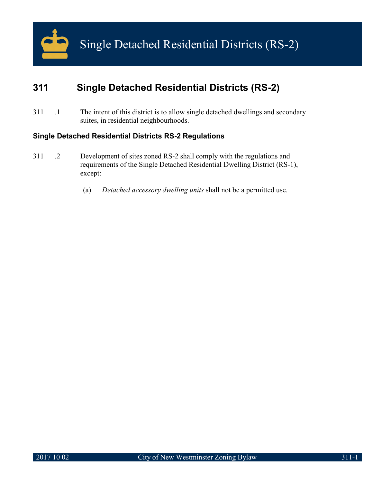

# **311 Single Detached Residential Districts (RS-2)**

311 .1 The intent of this district is to allow single detached dwellings and secondary suites, in residential neighbourhoods.

# **Single Detached Residential Districts RS-2 Regulations**

- 311 .2 Development of sites zoned RS-2 shall comply with the regulations and requirements of the Single Detached Residential Dwelling District (RS-1), except:
	- (a) *Detached accessory dwelling units* shall not be a permitted use.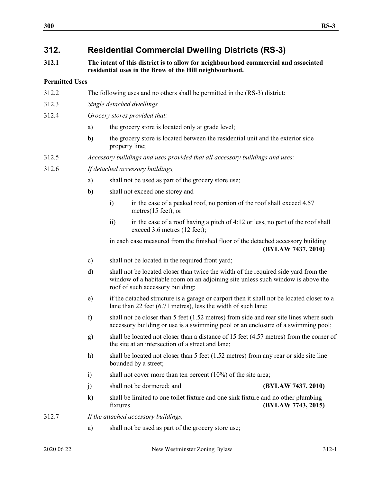# **312. Residential Commercial Dwelling Districts (RS-3)**

**312.1 The intent of this district is to allow for neighbourhood commercial and associated residential uses in the Brow of the Hill neighbourhood.**

# **Permitted Uses**

- 312.2 The following uses and no others shall be permitted in the (RS-3) district:
- 312.3 *Single detached dwellings*
- 312.4 *Grocery stores provided that:*
	- a) the grocery store is located only at grade level;
	- b) the grocery store is located between the residential unit and the exterior side property line;
- 312.5 *Accessory buildings and uses provided that all accessory buildings and uses:*
- 312.6 *If detached accessory buildings,*
	- a) shall not be used as part of the grocery store use;
	- b) shall not exceed one storey and
		- i) in the case of a peaked roof, no portion of the roof shall exceed 4.57 metres(15 feet), or
		- ii) in the case of a roof having a pitch of 4:12 or less, no part of the roof shall exceed 3.6 metres (12 feet);

in each case measured from the finished floor of the detached accessory building. **(BYLAW 7437, 2010)**

- c) shall not be located in the required front yard;
- d) shall not be located closer than twice the width of the required side yard from the window of a habitable room on an adjoining site unless such window is above the roof of such accessory building;
- e) if the detached structure is a garage or carport then it shall not be located closer to a lane than 22 feet (6.71 metres), less the width of such lane;
- f) shall not be closer than 5 feet (1.52 metres) from side and rear site lines where such accessory building or use is a swimming pool or an enclosure of a swimming pool;
- g) shall be located not closer than a distance of 15 feet (4.57 metres) from the corner of the site at an intersection of a street and lane;
- h) shall be located not closer than 5 feet (1.52 metres) from any rear or side site line bounded by a street;
- i) shall not cover more than ten percent (10%) of the site area;
- j) shall not be dormered; and **(BYLAW 7437, 2010)**
- k) shall be limited to one toilet fixture and one sink fixture and no other plumbing fixtures. **(BYLAW 7743, 2015)**
- 312.7 *If the attached accessory buildings,* 
	- a) shall not be used as part of the grocery store use;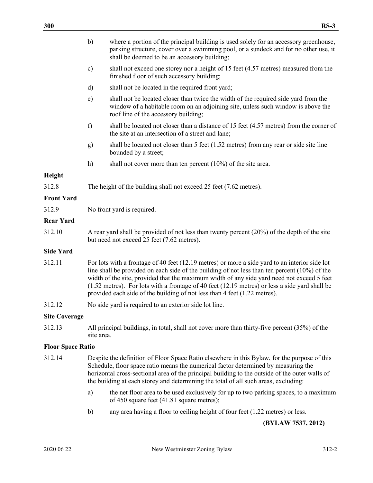|                          | b)                                                                                                                                                                                                                                                                                                                                                                                                                                                                                  | where a portion of the principal building is used solely for an accessory greenhouse,<br>parking structure, cover over a swimming pool, or a sundeck and for no other use, it<br>shall be deemed to be an accessory building; |  |
|--------------------------|-------------------------------------------------------------------------------------------------------------------------------------------------------------------------------------------------------------------------------------------------------------------------------------------------------------------------------------------------------------------------------------------------------------------------------------------------------------------------------------|-------------------------------------------------------------------------------------------------------------------------------------------------------------------------------------------------------------------------------|--|
|                          | $\mathbf{c})$                                                                                                                                                                                                                                                                                                                                                                                                                                                                       | shall not exceed one storey nor a height of 15 feet (4.57 metres) measured from the<br>finished floor of such accessory building;                                                                                             |  |
|                          | d)                                                                                                                                                                                                                                                                                                                                                                                                                                                                                  | shall not be located in the required front yard;                                                                                                                                                                              |  |
|                          | $\epsilon$ )                                                                                                                                                                                                                                                                                                                                                                                                                                                                        | shall not be located closer than twice the width of the required side yard from the<br>window of a habitable room on an adjoining site, unless such window is above the<br>roof line of the accessory building;               |  |
|                          | f)                                                                                                                                                                                                                                                                                                                                                                                                                                                                                  | shall be located not closer than a distance of 15 feet (4.57 metres) from the corner of<br>the site at an intersection of a street and lane;                                                                                  |  |
|                          | g)                                                                                                                                                                                                                                                                                                                                                                                                                                                                                  | shall be located not closer than 5 feet (1.52 metres) from any rear or side site line<br>bounded by a street;                                                                                                                 |  |
|                          | h)                                                                                                                                                                                                                                                                                                                                                                                                                                                                                  | shall not cover more than ten percent $(10\%)$ of the site area.                                                                                                                                                              |  |
| Height                   |                                                                                                                                                                                                                                                                                                                                                                                                                                                                                     |                                                                                                                                                                                                                               |  |
| 312.8                    |                                                                                                                                                                                                                                                                                                                                                                                                                                                                                     | The height of the building shall not exceed 25 feet (7.62 metres).                                                                                                                                                            |  |
| <b>Front Yard</b>        |                                                                                                                                                                                                                                                                                                                                                                                                                                                                                     |                                                                                                                                                                                                                               |  |
| 312.9                    |                                                                                                                                                                                                                                                                                                                                                                                                                                                                                     | No front yard is required.                                                                                                                                                                                                    |  |
| <b>Rear Yard</b>         |                                                                                                                                                                                                                                                                                                                                                                                                                                                                                     |                                                                                                                                                                                                                               |  |
| 312.10                   | A rear yard shall be provided of not less than twenty percent (20%) of the depth of the site<br>but need not exceed 25 feet (7.62 metres).                                                                                                                                                                                                                                                                                                                                          |                                                                                                                                                                                                                               |  |
| <b>Side Yard</b>         |                                                                                                                                                                                                                                                                                                                                                                                                                                                                                     |                                                                                                                                                                                                                               |  |
| 312.11                   | For lots with a frontage of 40 feet (12.19 metres) or more a side yard to an interior side lot<br>line shall be provided on each side of the building of not less than ten percent $(10\%)$ of the<br>width of the site, provided that the maximum width of any side yard need not exceed 5 feet<br>$(1.52$ metres). For lots with a frontage of 40 feet $(12.19$ metres) or less a side yard shall be<br>provided each side of the building of not less than 4 feet (1.22 metres). |                                                                                                                                                                                                                               |  |
| 312.12                   | No side yard is required to an exterior side lot line.                                                                                                                                                                                                                                                                                                                                                                                                                              |                                                                                                                                                                                                                               |  |
| <b>Site Coverage</b>     |                                                                                                                                                                                                                                                                                                                                                                                                                                                                                     |                                                                                                                                                                                                                               |  |
| 312.13                   | All principal buildings, in total, shall not cover more than thirty-five percent (35%) of the<br>site area.                                                                                                                                                                                                                                                                                                                                                                         |                                                                                                                                                                                                                               |  |
| <b>Floor Space Ratio</b> |                                                                                                                                                                                                                                                                                                                                                                                                                                                                                     |                                                                                                                                                                                                                               |  |
| 312.14                   | Despite the definition of Floor Space Ratio elsewhere in this Bylaw, for the purpose of this<br>Schedule, floor space ratio means the numerical factor determined by measuring the<br>horizontal cross-sectional area of the principal building to the outside of the outer walls of<br>the building at each storey and determining the total of all such areas, excluding:                                                                                                         |                                                                                                                                                                                                                               |  |
|                          | a)                                                                                                                                                                                                                                                                                                                                                                                                                                                                                  | the net floor area to be used exclusively for up to two parking spaces, to a maximum<br>of 450 square feet (41.81 square metres);                                                                                             |  |
|                          | b)                                                                                                                                                                                                                                                                                                                                                                                                                                                                                  | any area having a floor to ceiling height of four feet (1.22 metres) or less.                                                                                                                                                 |  |
|                          |                                                                                                                                                                                                                                                                                                                                                                                                                                                                                     |                                                                                                                                                                                                                               |  |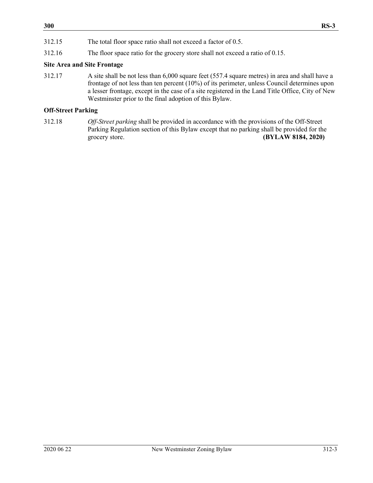312.15 The total floor space ratio shall not exceed a factor of 0.5.

312.16 The floor space ratio for the grocery store shall not exceed a ratio of 0.15.

# **Site Area and Site Frontage**

312.17 A site shall be not less than 6,000 square feet (557.4 square metres) in area and shall have a frontage of not less than ten percent (10%) of its perimeter, unless Council determines upon a lesser frontage, except in the case of a site registered in the Land Title Office, City of New Westminster prior to the final adoption of this Bylaw.

# **Off-Street Parking**

312.18 *Off-Street parking* shall be provided in accordance with the provisions of the Off-Street Parking Regulation section of this Bylaw except that no parking shall be provided for the grocery store. **(BYLAW 8184, 2020)**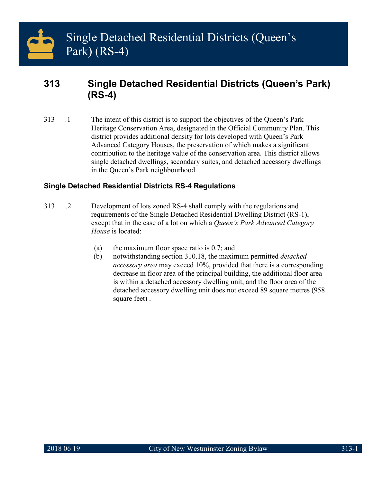# **313 Single Detached Residential Districts (Queen's Park) (RS-4)**

313 …1 The intent of this district is to support the objectives of the Queen's Park Heritage Conservation Area, designated in the Official Community Plan. This district provides additional density for lots developed with Queen's Park Advanced Category Houses, the preservation of which makes a significant contribution to the heritage value of the conservation area. This district allows single detached dwellings, secondary suites, and detached accessory dwellings in the Queen's Park neighbourhood.

# **Single Detached Residential Districts RS-4 Regulations**

- 313 .2 Development of lots zoned RS-4 shall comply with the regulations and requirements of the Single Detached Residential Dwelling District (RS-1), except that in the case of a lot on which a *Queen's Park Advanced Category House* is located:
	- (a) the maximum floor space ratio is 0.7; and
	- (b) notwithstanding section 310.18, the maximum permitted *detached accessory area* may exceed 10%, provided that there is a corresponding decrease in floor area of the principal building, the additional floor area is within a detached accessory dwelling unit, and the floor area of the detached accessory dwelling unit does not exceed 89 square metres (958 square feet) .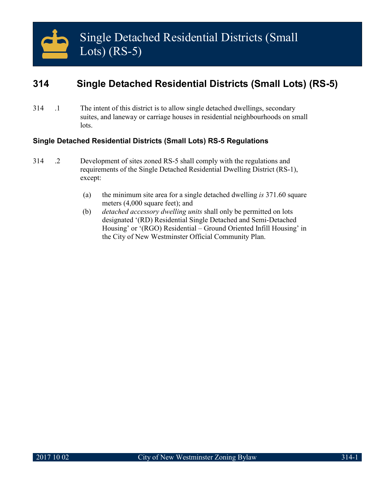# **314 Single Detached Residential Districts (Small Lots) (RS-5)**

314 .1 The intent of this district is to allow single detached dwellings, secondary suites, and laneway or carriage houses in residential neighbourhoods on small lots.

# **Single Detached Residential Districts (Small Lots) RS-5 Regulations**

- 314 .2 Development of sites zoned RS-5 shall comply with the regulations and requirements of the Single Detached Residential Dwelling District (RS-1), except:
	- (a) the minimum site area for a single detached dwelling *is* 371.60 square meters (4,000 square feet); and
	- (b) *detached accessory dwelling units* shall only be permitted on lots designated '(RD) Residential Single Detached and Semi-Detached Housing' or '(RGO) Residential – Ground Oriented Infill Housing' in the City of New Westminster Official Community Plan.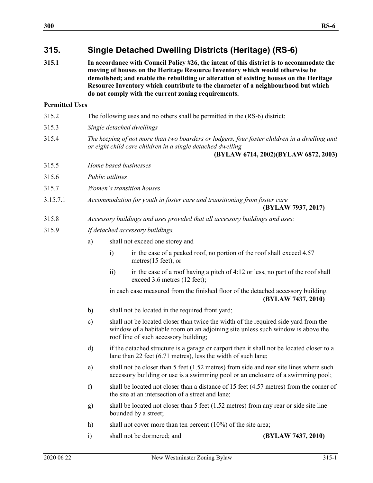# **315. Single Detached Dwelling Districts (Heritage) (RS-6)**

**315.1 In accordance with Council Policy #26, the intent of this district is to accommodate the moving of houses on the Heritage Resource Inventory which would otherwise be demolished; and enable the rebuilding or alteration of existing houses on the Heritage Resource Inventory which contribute to the character of a neighbourhood but which do not comply with the current zoning requirements.**

# **Permitted Uses**

| 315.2    |                                                                                                                                                                                                     | The following uses and no others shall be permitted in the (RS-6) district:                                                                                                                                     |                                                                              |                                                                                                                                                                            |
|----------|-----------------------------------------------------------------------------------------------------------------------------------------------------------------------------------------------------|-----------------------------------------------------------------------------------------------------------------------------------------------------------------------------------------------------------------|------------------------------------------------------------------------------|----------------------------------------------------------------------------------------------------------------------------------------------------------------------------|
| 315.3    |                                                                                                                                                                                                     | Single detached dwellings                                                                                                                                                                                       |                                                                              |                                                                                                                                                                            |
| 315.4    | The keeping of not more than two boarders or lodgers, four foster children in a dwelling unit<br>or eight child care children in a single detached dwelling<br>(BYLAW 6714, 2002)(BYLAW 6872, 2003) |                                                                                                                                                                                                                 |                                                                              |                                                                                                                                                                            |
| 315.5    |                                                                                                                                                                                                     |                                                                                                                                                                                                                 | Home based businesses                                                        |                                                                                                                                                                            |
| 315.6    |                                                                                                                                                                                                     | Public utilities                                                                                                                                                                                                |                                                                              |                                                                                                                                                                            |
| 315.7    |                                                                                                                                                                                                     |                                                                                                                                                                                                                 | Women's transition houses                                                    |                                                                                                                                                                            |
| 3.15.7.1 |                                                                                                                                                                                                     | Accommodation for youth in foster care and transitioning from foster care<br>(BYLAW 7937, 2017)                                                                                                                 |                                                                              |                                                                                                                                                                            |
| 315.8    |                                                                                                                                                                                                     |                                                                                                                                                                                                                 | Accessory buildings and uses provided that all accessory buildings and uses: |                                                                                                                                                                            |
| 315.9    |                                                                                                                                                                                                     |                                                                                                                                                                                                                 | If detached accessory buildings,                                             |                                                                                                                                                                            |
|          | a)                                                                                                                                                                                                  |                                                                                                                                                                                                                 | shall not exceed one storey and                                              |                                                                                                                                                                            |
|          |                                                                                                                                                                                                     | $\ddot{1}$                                                                                                                                                                                                      | metres(15 feet), or                                                          | in the case of a peaked roof, no portion of the roof shall exceed 4.57                                                                                                     |
|          |                                                                                                                                                                                                     | $\overline{ii}$                                                                                                                                                                                                 | exceed 3.6 metres (12 feet);                                                 | in the case of a roof having a pitch of 4:12 or less, no part of the roof shall                                                                                            |
|          |                                                                                                                                                                                                     |                                                                                                                                                                                                                 |                                                                              | in each case measured from the finished floor of the detached accessory building.<br>(BYLAW 7437, 2010)                                                                    |
|          | b)                                                                                                                                                                                                  |                                                                                                                                                                                                                 | shall not be located in the required front yard;                             |                                                                                                                                                                            |
|          | $\mathbf{c})$                                                                                                                                                                                       | shall not be located closer than twice the width of the required side yard from the<br>window of a habitable room on an adjoining site unless such window is above the<br>roof line of such accessory building; |                                                                              |                                                                                                                                                                            |
|          | d)                                                                                                                                                                                                  |                                                                                                                                                                                                                 | lane than 22 feet $(6.71 \text{ metres})$ , less the width of such lane;     | if the detached structure is a garage or carport then it shall not be located closer to a                                                                                  |
|          | e)                                                                                                                                                                                                  |                                                                                                                                                                                                                 |                                                                              | shall not be closer than 5 feet (1.52 metres) from side and rear site lines where such<br>accessory building or use is a swimming pool or an enclosure of a swimming pool; |
|          | f)                                                                                                                                                                                                  |                                                                                                                                                                                                                 | the site at an intersection of a street and lane;                            | shall be located not closer than a distance of 15 feet (4.57 metres) from the corner of                                                                                    |
|          | g)                                                                                                                                                                                                  |                                                                                                                                                                                                                 | bounded by a street;                                                         | shall be located not closer than 5 feet $(1.52 \text{ metres})$ from any rear or side site line                                                                            |
|          | h)                                                                                                                                                                                                  |                                                                                                                                                                                                                 | shall not cover more than ten percent $(10\%)$ of the site area;             |                                                                                                                                                                            |
|          | $\ddot{i}$                                                                                                                                                                                          |                                                                                                                                                                                                                 | shall not be dormered; and                                                   | (BYLAW 7437, 2010)                                                                                                                                                         |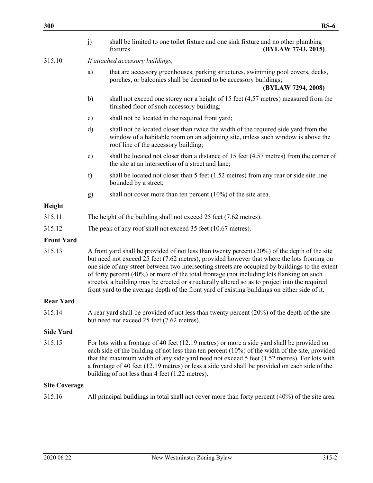|                      | j)                                                                                                                                                                                                                                                                                                                                                                                                                                                                                                                                                                                                | shall be limited to one toilet fixture and one sink fixture and no other plumbing<br>fixtures.                                                                                                                  | (BYLAW 7743, 2015) |
|----------------------|---------------------------------------------------------------------------------------------------------------------------------------------------------------------------------------------------------------------------------------------------------------------------------------------------------------------------------------------------------------------------------------------------------------------------------------------------------------------------------------------------------------------------------------------------------------------------------------------------|-----------------------------------------------------------------------------------------------------------------------------------------------------------------------------------------------------------------|--------------------|
| 315.10               | If attached accessory buildings,                                                                                                                                                                                                                                                                                                                                                                                                                                                                                                                                                                  |                                                                                                                                                                                                                 |                    |
|                      | a)                                                                                                                                                                                                                                                                                                                                                                                                                                                                                                                                                                                                | that are accessory greenhouses, parking structures, swimming pool covers, decks,<br>porches, or balconies shall be deemed to be accessory buildings;                                                            | (BYLAW 7294, 2008) |
|                      | b)                                                                                                                                                                                                                                                                                                                                                                                                                                                                                                                                                                                                | shall not exceed one storey nor a height of 15 feet (4.57 metres) measured from the<br>finished floor of such accessory building;                                                                               |                    |
|                      | c)                                                                                                                                                                                                                                                                                                                                                                                                                                                                                                                                                                                                | shall not be located in the required front yard;                                                                                                                                                                |                    |
|                      | d)                                                                                                                                                                                                                                                                                                                                                                                                                                                                                                                                                                                                | shall not be located closer than twice the width of the required side yard from the<br>window of a habitable room on an adjoining site, unless such window is above the<br>roof line of the accessory building; |                    |
|                      | e)                                                                                                                                                                                                                                                                                                                                                                                                                                                                                                                                                                                                | shall be located not closer than a distance of 15 feet (4.57 metres) from the corner of<br>the site at an intersection of a street and lane;                                                                    |                    |
|                      | f)                                                                                                                                                                                                                                                                                                                                                                                                                                                                                                                                                                                                | shall be located not closer than 5 feet (1.52 metres) from any rear or side site line<br>bounded by a street;                                                                                                   |                    |
|                      | g)                                                                                                                                                                                                                                                                                                                                                                                                                                                                                                                                                                                                | shall not cover more than ten percent $(10\%)$ of the site area.                                                                                                                                                |                    |
| Height               |                                                                                                                                                                                                                                                                                                                                                                                                                                                                                                                                                                                                   |                                                                                                                                                                                                                 |                    |
| 315.11               | The height of the building shall not exceed 25 feet (7.62 metres).                                                                                                                                                                                                                                                                                                                                                                                                                                                                                                                                |                                                                                                                                                                                                                 |                    |
| 315.12               | The peak of any roof shall not exceed 35 feet (10.67 metres).                                                                                                                                                                                                                                                                                                                                                                                                                                                                                                                                     |                                                                                                                                                                                                                 |                    |
| <b>Front Yard</b>    |                                                                                                                                                                                                                                                                                                                                                                                                                                                                                                                                                                                                   |                                                                                                                                                                                                                 |                    |
| 315.13               | A front yard shall be provided of not less than twenty percent $(20%)$ of the depth of the site<br>but need not exceed 25 feet (7.62 metres), provided however that where the lots fronting on<br>one side of any street between two intersecting streets are occupied by buildings to the extent<br>of forty percent (40%) or more of the total frontage (not including lots flanking on such<br>streets), a building may be erected or structurally altered so as to project into the required<br>front yard to the average depth of the front yard of existing buildings on either side of it. |                                                                                                                                                                                                                 |                    |
| <b>Rear Yard</b>     |                                                                                                                                                                                                                                                                                                                                                                                                                                                                                                                                                                                                   |                                                                                                                                                                                                                 |                    |
| 315.14               | A rear yard shall be provided of not less than twenty percent $(20\%)$ of the depth of the site<br>but need not exceed 25 feet (7.62 metres).                                                                                                                                                                                                                                                                                                                                                                                                                                                     |                                                                                                                                                                                                                 |                    |
| <b>Side Yard</b>     |                                                                                                                                                                                                                                                                                                                                                                                                                                                                                                                                                                                                   |                                                                                                                                                                                                                 |                    |
| 315.15               | For lots with a frontage of 40 feet (12.19 metres) or more a side yard shall be provided on<br>each side of the building of not less than ten percent (10%) of the width of the site, provided<br>that the maximum width of any side yard need not exceed 5 feet (1.52 metres). For lots with<br>a frontage of 40 feet (12.19 metres) or less a side yard shall be provided on each side of the<br>building of not less than 4 feet (1.22 metres).                                                                                                                                                |                                                                                                                                                                                                                 |                    |
| <b>Site Coverage</b> |                                                                                                                                                                                                                                                                                                                                                                                                                                                                                                                                                                                                   |                                                                                                                                                                                                                 |                    |
| 315.16               |                                                                                                                                                                                                                                                                                                                                                                                                                                                                                                                                                                                                   | All principal buildings in total shall not cover more than forty percent (40%) of the site area.                                                                                                                |                    |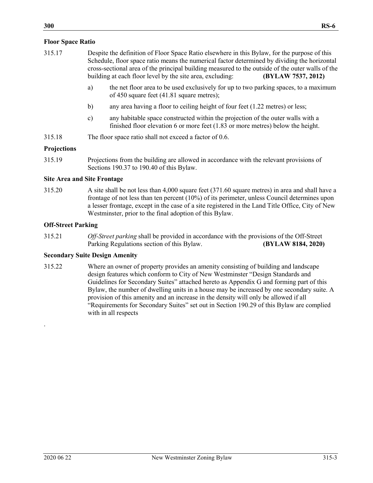# **Floor Space Ratio**

- 315.17 Despite the definition of Floor Space Ratio elsewhere in this Bylaw, for the purpose of this Schedule, floor space ratio means the numerical factor determined by dividing the horizontal cross-sectional area of the principal building measured to the outside of the outer walls of the building at each floor level by the site area, excluding: **(BYLAW 7537, 2012)**
	- a) the net floor area to be used exclusively for up to two parking spaces, to a maximum of 450 square feet (41.81 square metres);
	- b) any area having a floor to ceiling height of four feet (1.22 metres) or less;
	- c) any habitable space constructed within the projection of the outer walls with a finished floor elevation 6 or more feet (1.83 or more metres) below the height.
- 315.18 The floor space ratio shall not exceed a factor of 0.6.

# **Projections**

315.19 Projections from the building are allowed in accordance with the relevant provisions of Sections 190.37 to 190.40 of this Bylaw.

## **Site Area and Site Frontage**

315.20 A site shall be not less than 4,000 square feet (371.60 square metres) in area and shall have a frontage of not less than ten percent (10%) of its perimeter, unless Council determines upon a lesser frontage, except in the case of a site registered in the Land Title Office, City of New Westminster, prior to the final adoption of this Bylaw.

# **Off-Street Parking**

315.21 *Off-Street parking* shall be provided in accordance with the provisions of the Off-Street Parking Regulations section of this Bylaw. **(BYLAW 8184, 2020)**

# **Secondary Suite Design Amenity**

315.22 Where an owner of property provides an amenity consisting of building and landscape design features which conform to City of New Westminster "Design Standards and Guidelines for Secondary Suites" attached hereto as Appendix G and forming part of this Bylaw, the number of dwelling units in a house may be increased by one secondary suite. A provision of this amenity and an increase in the density will only be allowed if all "Requirements for Secondary Suites" set out in Section 190.29 of this Bylaw are complied with in all respects

.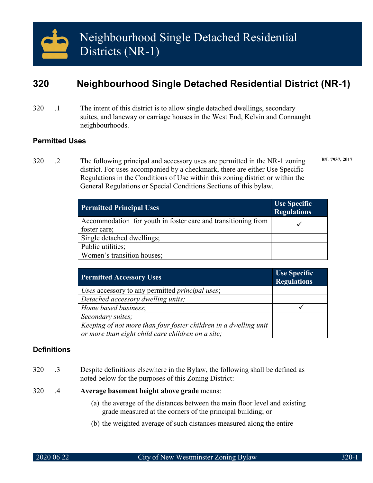# **320 Neighbourhood Single Detached Residential District (NR-1)**

320 .1 The intent of this district is to allow single detached dwellings, secondary suites, and laneway or carriage houses in the West End, Kelvin and Connaught neighbourhoods.

# **Permitted Uses**

320 .2 The following principal and accessory uses are permitted in the NR-1 zoning district. For uses accompanied by a checkmark, there are either Use Specific Regulations in the Conditions of Use within this zoning district or within the General Regulations or Special Conditions Sections of this bylaw. **B/L 7937, 2017**

| <b>Permitted Principal Uses</b>                               | <b>Use Specific</b><br><b>Regulations</b> |
|---------------------------------------------------------------|-------------------------------------------|
| Accommodation for youth in foster care and transitioning from |                                           |
| foster care;                                                  |                                           |
| Single detached dwellings;                                    |                                           |
| Public utilities;                                             |                                           |
| Women's transition houses;                                    |                                           |

| <b>Permitted Accessory Uses</b>                                  | <b>Use Specific</b><br><b>Regulations</b> |
|------------------------------------------------------------------|-------------------------------------------|
| Uses accessory to any permitted <i>principal uses</i> ;          |                                           |
| Detached accessory dwelling units;                               |                                           |
| Home based business;                                             |                                           |
| Secondary suites;                                                |                                           |
| Keeping of not more than four foster children in a dwelling unit |                                           |
| or more than eight child care children on a site;                |                                           |

# **Definitions**

- 320 .3 Despite definitions elsewhere in the Bylaw, the following shall be defined as noted below for the purposes of this Zoning District:
- 320 .4 **Average basement height above grade** means:
	- (a) the average of the distances between the main floor level and existing grade measured at the corners of the principal building; or
	- (b) the weighted average of such distances measured along the entire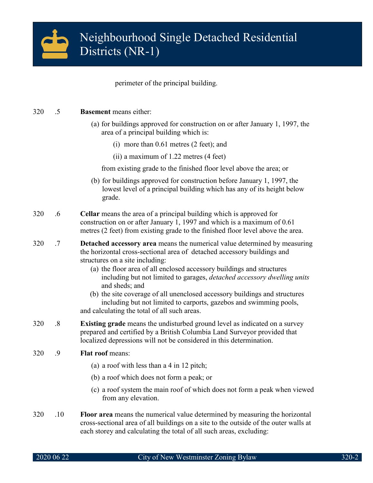

perimeter of the principal building.

# 320 .5 **Basement** means either:

- (a) for buildings approved for construction on or after January 1, 1997, the area of a principal building which is:
	- (i) more than 0.61 metres (2 feet); and
	- (ii) a maximum of 1.22 metres (4 feet)

from existing grade to the finished floor level above the area; or

- (b) for buildings approved for construction before January 1, 1997, the lowest level of a principal building which has any of its height below grade.
- 320 .6 **Cellar** means the area of a principal building which is approved for construction on or after January 1, 1997 and which is a maximum of 0.61 metres (2 feet) from existing grade to the finished floor level above the area.
- 320 .7 **Detached accessory area** means the numerical value determined by measuring the horizontal cross-sectional area of detached accessory buildings and structures on a site including:
	- (a) the floor area of all enclosed accessory buildings and structures including but not limited to garages, *detached accessory dwelling units* and sheds; and
	- (b) the site coverage of all unenclosed accessory buildings and structures including but not limited to carports, gazebos and swimming pools, and calculating the total of all such areas.
- 320 .8 **Existing grade** means the undisturbed ground level as indicated on a survey prepared and certified by a British Columbia Land Surveyor provided that localized depressions will not be considered in this determination.

# 320 .9 **Flat roof** means:

- (a) a roof with less than a 4 in 12 pitch;
- (b) a roof which does not form a peak; or
- (c) a roof system the main roof of which does not form a peak when viewed from any elevation.
- 320 .10 **Floor area** means the numerical value determined by measuring the horizontal cross-sectional area of all buildings on a site to the outside of the outer walls at each storey and calculating the total of all such areas, excluding: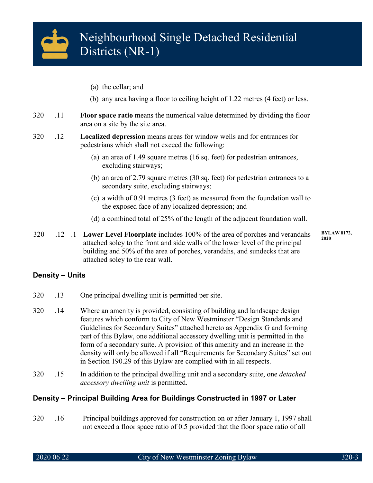

- (a) the cellar; and
- (b) any area having a floor to ceiling height of 1.22 metres (4 feet) or less.
- 320 .11 **Floor space ratio** means the numerical value determined by dividing the floor area on a site by the site area.
- 320 .12 **Localized depression** means areas for window wells and for entrances for pedestrians which shall not exceed the following:
	- (a) an area of 1.49 square metres (16 sq. feet) for pedestrian entrances, excluding stairways;
	- (b) an area of 2.79 square metres (30 sq. feet) for pedestrian entrances to a secondary suite, excluding stairways;
	- (c) a width of 0.91 metres (3 feet) as measured from the foundation wall to the exposed face of any localized depression; and
	- (d) a combined total of 25% of the length of the adjacent foundation wall.
- 320 .12 .1 **Lower Level Floorplate** includes 100% of the area of porches and verandahs attached soley to the front and side walls of the lower level of the principal building and 50% of the area of porches, verandahs, and sundecks that are attached soley to the rear wall. **2020**

**BYLAW 8172,** 

# **Density – Units**

- 320 .13 One principal dwelling unit is permitted per site.
- 320 .14 Where an amenity is provided, consisting of building and landscape design features which conform to City of New Westminster "Design Standards and Guidelines for Secondary Suites" attached hereto as Appendix G and forming part of this Bylaw, one additional accessory dwelling unit is permitted in the form of a secondary suite. A provision of this amenity and an increase in the density will only be allowed if all "Requirements for Secondary Suites" set out in Section 190.29 of this Bylaw are complied with in all respects.
- 320 .15 In addition to the principal dwelling unit and a secondary suite, one *detached accessory dwelling unit* is permitted.

# **Density – Principal Building Area for Buildings Constructed in 1997 or Later**

320 .16 Principal buildings approved for construction on or after January 1, 1997 shall not exceed a floor space ratio of 0.5 provided that the floor space ratio of all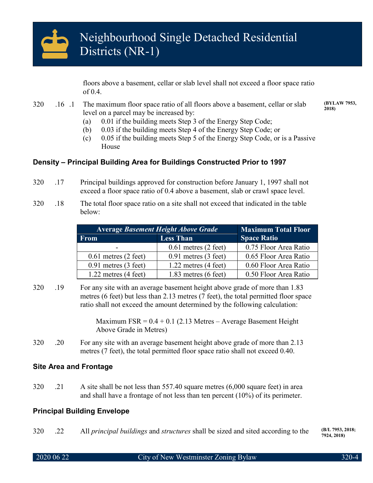

floors above a basement, cellar or slab level shall not exceed a floor space ratio of 0.4.

- 320 .16 .1 The maximum floor space ratio of all floors above a basement, cellar or slab level on a parcel may be increased by:
	- (a) 0.01 if the building meets Step 3 of the Energy Step Code;
	- (b) 0.03 if the building meets Step 4 of the Energy Step Code; or
	- (c) 0.05 if the building meets Step 5 of the Energy Step Code, or is a Passive House

# **Density – Principal Building Area for Buildings Constructed Prior to 1997**

- 320 .17 Principal buildings approved for construction before January 1, 1997 shall not exceed a floor space ratio of 0.4 above a basement, slab or crawl space level.
- 320 .18 The total floor space ratio on a site shall not exceed that indicated in the table below:

| <b>Average Basement Height Above Grade</b> | <b>Maximum Total Floor</b>       |                       |
|--------------------------------------------|----------------------------------|-----------------------|
| <b>From</b>                                | <b>Less Than</b>                 | <b>Space Ratio</b>    |
| -                                          | $0.61$ metres $(2 \text{ feet})$ | 0.75 Floor Area Ratio |
| $0.61$ metres $(2$ feet)                   | $0.91$ metres $(3$ feet)         | 0.65 Floor Area Ratio |
| $0.91$ metres $(3$ feet)                   | $1.22$ metres $(4$ feet)         | 0.60 Floor Area Ratio |
| $1.22$ metres $(4 \text{ feet})$           | $1.83$ metres $(6$ feet)         | 0.50 Floor Area Ratio |

320 .19 For any site with an average basement height above grade of more than 1.83 metres (6 feet) but less than 2.13 metres (7 feet), the total permitted floor space ratio shall not exceed the amount determined by the following calculation:

> Maximum  $FSR = 0.4 + 0.1$  (2.13 Metres – Average Basement Height Above Grade in Metres)

320 .20 For any site with an average basement height above grade of more than 2.13 metres (7 feet), the total permitted floor space ratio shall not exceed 0.40.

# **Site Area and Frontage**

320 .21 A site shall be not less than 557.40 square metres (6,000 square feet) in area and shall have a frontage of not less than ten percent (10%) of its perimeter.

# **Principal Building Envelope**

320 .22 All *principal buildings* and *structures* shall be sized and sited according to the **(B/L 7953, 2018;**

**7924, 2018)**

**(BYLAW 7953, 2018)**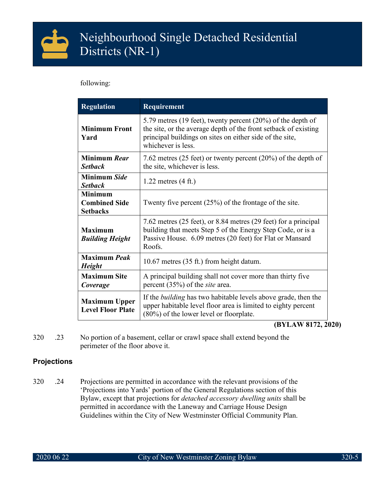

following:

| <b>Regulation</b>                                         | Requirement                                                                                                                                                                                                      |  |  |
|-----------------------------------------------------------|------------------------------------------------------------------------------------------------------------------------------------------------------------------------------------------------------------------|--|--|
| <b>Minimum Front</b><br>Yard                              | 5.79 metres (19 feet), twenty percent (20%) of the depth of<br>the site, or the average depth of the front setback of existing<br>principal buildings on sites on either side of the site,<br>whichever is less. |  |  |
| Minimum Rear<br><b>Setback</b>                            | 7.62 metres (25 feet) or twenty percent (20%) of the depth of<br>the site, whichever is less.                                                                                                                    |  |  |
| Minimum Side<br><b>Setback</b>                            | $1.22$ metres $(4 \text{ ft.})$                                                                                                                                                                                  |  |  |
| <b>Minimum</b><br><b>Combined Side</b><br><b>Setbacks</b> | Twenty five percent $(25%)$ of the frontage of the site.                                                                                                                                                         |  |  |
| <b>Maximum</b><br><b>Building Height</b>                  | 7.62 metres (25 feet), or 8.84 metres (29 feet) for a principal<br>building that meets Step 5 of the Energy Step Code, or is a<br>Passive House. 6.09 metres (20 feet) for Flat or Mansard<br>Roofs.             |  |  |
| <b>Maximum Peak</b><br><b>Height</b>                      | 10.67 metres (35 ft.) from height datum.                                                                                                                                                                         |  |  |
| <b>Maximum Site</b><br>Coverage                           | A principal building shall not cover more than thirty five<br>percent $(35%)$ of the <i>site</i> area.                                                                                                           |  |  |
| <b>Maximum Upper</b><br><b>Level Floor Plate</b>          | If the <i>building</i> has two habitable levels above grade, then the<br>upper habitable level floor area is limited to eighty percent<br>$(80\%)$ of the lower level or floorplate.                             |  |  |

**(BYLAW 8172, 2020)**

320 .23 No portion of a basement, cellar or crawl space shall extend beyond the perimeter of the floor above it.

# **Projections**

320 .24 Projections are permitted in accordance with the relevant provisions of the 'Projections into Yards' portion of the General Regulations section of this Bylaw, except that projections for *detached accessory dwelling units* shall be permitted in accordance with the Laneway and Carriage House Design Guidelines within the City of New Westminster Official Community Plan.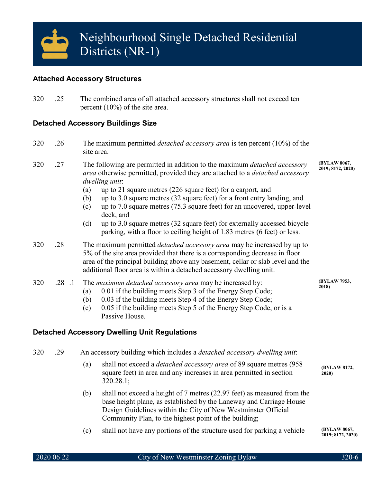# **Attached Accessory Structures**

320 .25 The combined area of all attached accessory structures shall not exceed ten percent (10%) of the site area.

# **Detached Accessory Buildings Size**

- 320 .26 The maximum permitted *detached accessory area* is ten percent (10%) of the site area.
- 320 .27 The following are permitted in addition to the maximum *detached accessory area* otherwise permitted, provided they are attached to a *detached accessory dwelling unit*: **(BYLAW 8067, 2019; 8172, 2020)**
	- (a) up to 21 square metres (226 square feet) for a carport, and
	- (b) up to 3.0 square metres (32 square feet) for a front entry landing, and
	- (c) up to 7.0 square metres (75.3 square feet) for an uncovered, upper-level deck, and
	- (d) up to 3.0 square metres (32 square feet) for externally accessed bicycle parking, with a floor to ceiling height of 1.83 metres (6 feet) or less.
- 320 .28 The maximum permitted *detached accessory area* may be increased by up to 5% of the site area provided that there is a corresponding decrease in floor area of the principal building above any basement, cellar or slab level and the additional floor area is within a detached accessory dwelling unit.

# 320 .28 .1 The *maximum detached accessory area* may be increased by:

- (a) 0.01 if the building meets Step 3 of the Energy Step Code;
	- (b) 0.03 if the building meets Step 4 of the Energy Step Code;
	- (c) 0.05 if the building meets Step 5 of the Energy Step Code, or is a Passive House.

# **Detached Accessory Dwelling Unit Regulations**

320 .29 An accessory building which includes a *detached accessory dwelling unit*:

- (a) shall not exceed a *detached accessory area* of 89 square metres (958 square feet) in area and any increases in area permitted in section 320.28.1; **(BYLAW 8172, 2020)**
- (b) shall not exceed a height of 7 metres (22.97 feet) as measured from the base height plane, as established by the Laneway and Carriage House Design Guidelines within the City of New Westminster Official Community Plan, to the highest point of the building;
- (c) shall not have any portions of the structure used for parking a vehicle

**(BYLAW 8067, 2019; 8172, 2020)**

**(BYLAW 7953, 2018)**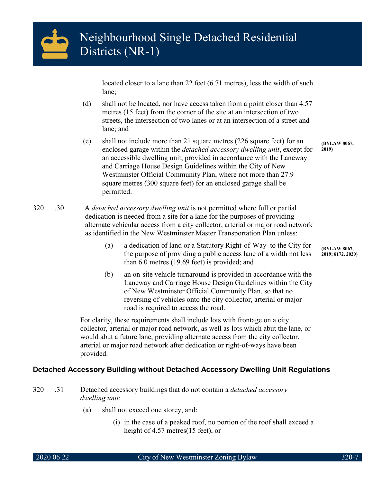

located closer to a lane than 22 feet (6.71 metres), less the width of such lane;

- (d) shall not be located, nor have access taken from a point closer than 4.57 metres (15 feet) from the corner of the site at an intersection of two streets, the intersection of two lanes or at an intersection of a street and lane; and
- (e) shall not include more than 21 square metres (226 square feet) for an enclosed garage within the *detached accessory dwelling unit*, except for an accessible dwelling unit, provided in accordance with the Laneway and Carriage House Design Guidelines within the City of New Westminster Official Community Plan, where not more than 27.9 square metres (300 square feet) for an enclosed garage shall be permitted. **2019)**

320 .30 A *detached accessory dwelling unit* is not permitted where full or partial dedication is needed from a site for a lane for the purposes of providing alternate vehicular access from a city collector, arterial or major road network as identified in the New Westminster Master Transportation Plan unless:

- (a) a dedication of land or a Statutory Right-of-Way to the City for the purpose of providing a public access lane of a width not less than 6.0 metres (19.69 feet) is provided; and
- (b) an on-site vehicle turnaround is provided in accordance with the Laneway and Carriage House Design Guidelines within the City of New Westminster Official Community Plan, so that no reversing of vehicles onto the city collector, arterial or major road is required to access the road.

For clarity, these requirements shall include lots with frontage on a city collector, arterial or major road network, as well as lots which abut the lane, or would abut a future lane, providing alternate access from the city collector, arterial or major road network after dedication or right-of-ways have been provided.

# **Detached Accessory Building without Detached Accessory Dwelling Unit Regulations**

- 320 .31 Detached accessory buildings that do not contain a *detached accessory dwelling unit*:
	- (a) shall not exceed one storey, and:
		- (i) in the case of a peaked roof, no portion of the roof shall exceed a height of 4.57 metres(15 feet), or

**(BYLAW 8067,** 

**(BYLAW 8067, 2019; 8172, 2020)**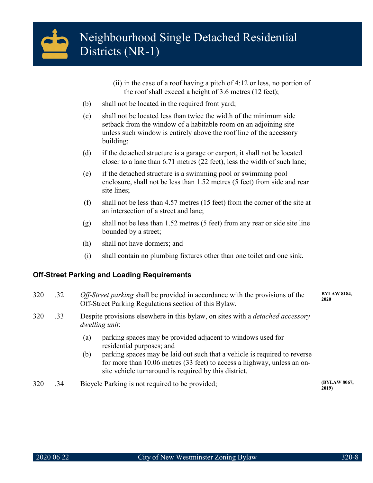

- (ii) in the case of a roof having a pitch of 4:12 or less, no portion of the roof shall exceed a height of 3.6 metres (12 feet);
- (b) shall not be located in the required front yard;
- (c) shall not be located less than twice the width of the minimum side setback from the window of a habitable room on an adjoining site unless such window is entirely above the roof line of the accessory building;
- (d) if the detached structure is a garage or carport, it shall not be located closer to a lane than 6.71 metres (22 feet), less the width of such lane;
- (e) if the detached structure is a swimming pool or swimming pool enclosure, shall not be less than 1.52 metres (5 feet) from side and rear site lines;
- (f) shall not be less than 4.57 metres (15 feet) from the corner of the site at an intersection of a street and lane;
- (g) shall not be less than 1.52 metres (5 feet) from any rear or side site line bounded by a street;
- (h) shall not have dormers; and
- (i) shall contain no plumbing fixtures other than one toilet and one sink.

# **Off-Street Parking and Loading Requirements**

- 320 .32 *Off-Street parking* shall be provided in accordance with the provisions of the Off-Street Parking Regulations section of this Bylaw. **BYLAW 8184, 2020**
- 320 .33 Despite provisions elsewhere in this bylaw, on sites with a *detached accessory dwelling unit*:
	- (a) parking spaces may be provided adjacent to windows used for residential purposes; and
	- (b) parking spaces may be laid out such that a vehicle is required to reverse for more than 10.06 metres (33 feet) to access a highway, unless an onsite vehicle turnaround is required by this district.
- 320 .34 Bicycle Parking is not required to be provided; **(BYLAW 8067,**

**2019)**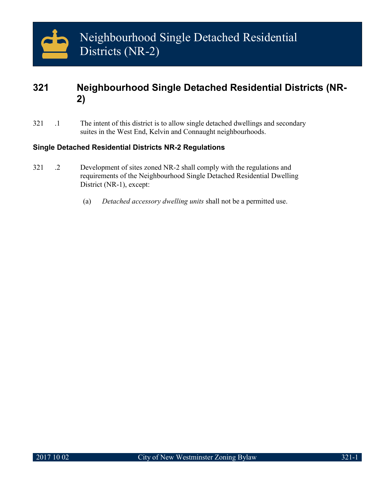# **321 Neighbourhood Single Detached Residential Districts (NR-2)**

321 .1 The intent of this district is to allow single detached dwellings and secondary suites in the West End, Kelvin and Connaught neighbourhoods.

# **Single Detached Residential Districts NR-2 Regulations**

- 321 .2 Development of sites zoned NR-2 shall comply with the regulations and requirements of the Neighbourhood Single Detached Residential Dwelling District (NR-1), except:
	- (a) *Detached accessory dwelling units* shall not be a permitted use.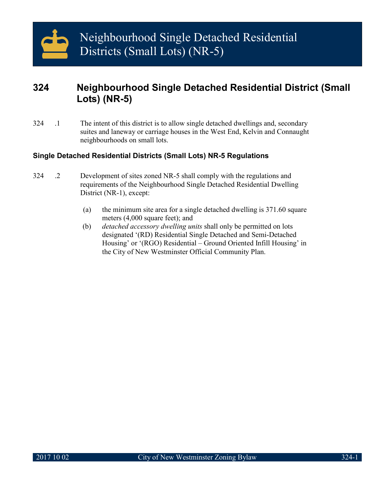# **324 Neighbourhood Single Detached Residential District (Small Lots) (NR-5)**

324 .1 The intent of this district is to allow single detached dwellings and, secondary suites and laneway or carriage houses in the West End, Kelvin and Connaught neighbourhoods on small lots.

# **Single Detached Residential Districts (Small Lots) NR-5 Regulations**

- 324 .2 Development of sites zoned NR-5 shall comply with the regulations and requirements of the Neighbourhood Single Detached Residential Dwelling District (NR-1), except:
	- (a) the minimum site area for a single detached dwelling is 371.60 square meters (4,000 square feet); and
	- (b) *detached accessory dwelling units* shall only be permitted on lots designated '(RD) Residential Single Detached and Semi-Detached Housing' or '(RGO) Residential – Ground Oriented Infill Housing' in the City of New Westminster Official Community Plan.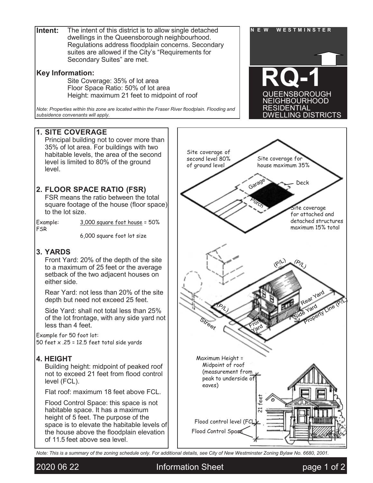**Intent:** The intent of this district is to allow single detached  $\begin{bmatrix} N & E & W \\ R & N & E \end{bmatrix}$ dwellings in the Queensborough neighbourhood. Regulations address floodplain concerns. Secondary suites are allowed if the City's "Requirements for Secondary Suites" are met.

# **Key Information:**

Site Coverage: 35% of lot area Floor Space Ratio: 50% of lot area Height: maximum 21 feet to midpoint of roof

*Note: Properties within this zone are located within the Fraser River floodplain. Flooding and subsidence convenants will apply.*

# **1. SITE COVERAGE**

Principal building not to cover more than 35% of lot area. For buildings with two habitable levels, the area of the second level is limited to 80% of the ground level.

# **2. FLOOR SPACE RATIO (FSR)**

FSR means the ratio between the total square footage of the house (floor space) to the lot size.

FSR

Example: 3,000 square foot house = 50%

6,000 square foot lot size

# **3. YARDS**

Front Yard: 20% of the depth of the site to a maximum of 25 feet or the average setback of the two adjacent houses on either side.

Rear Yard: not less than 20% of the site depth but need not exceed 25 feet.

Side Yard: shall not total less than 25% of the lot frontage, with any side yard not less than 4 feet.

Example for 50 foot lot: 50 feet  $\times$  .25 = 12.5 feet total side yards

# **4. HEIGHT**

Building height: midpoint of peaked roof not to exceed 21 feet from flood control level (FCL).

Flat roof: maximum 18 feet above FCL.

Flood Control Space: this space is not habitable space. It has a maximum height of 5 feet. The purpose of the space is to elevate the habitable levels of the house above the floodplain elevation of 11.5 feet above sea level.





*Note: This is a summary of the zoning schedule only. For additional details, see City of New Westminster Zoning Bylaw No. 6680, 2001.*

2020 06 22 Information Sheet page 1 of 2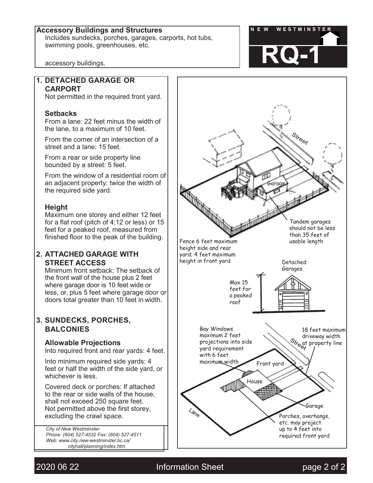# **Accessory Buildings and Structures N E W WESTMINSTER**

Includes sundecks, porches, garages, carports, hot tubs, swimming pools, greenhouses, etc.



accessory buildings.

# **1. DETACHED GARAGE OR CARPORT**

Not permitted in the required front yard.

# **Setbacks**

From a lane: 22 feet minus the width of the lane, to a maximum of 10 feet.

From the corner of an intersection of a street and a lane: 15 feet.

From a rear or side property line bounded by a street: 5 feet.

From the window of a residential room of an adjacent property: twice the width of the required side yard.

# **Height**

Maximum one storey and either 12 feet for a flat roof (pitch of 4:12 or less) or 15 feet for a peaked roof, measured from finished floor to the peak of the building.

# **2. ATTACHED GARAGE WITH STREET ACCESS**

Minimum front setback: The setback of the front wall of the house plus 2 feet where garage door is 10 feet wide or less, or, plus 5 feet where garage door or doors total greater than 10 feet in width.

# **3. SUNDECKS, PORCHES, BALCONIES**

# **Allowable Projections**

Into required front and rear yards: 4 feet.

Into minimum required side yards: 4 feet or half the width of the side yard, or whichever is less.

Covered deck or porches: If attached to the rear or side walls of the house, shall not exceed 250 square feet. Not permitted above the first storey, excluding the crawl space.

*City of New Westminster Phone: (604) 527-4532 Fax: (604) 527-4511 Web: [www.city.new-westminster.bc.ca/](http://www.city.new-westminster.bc.ca/) cityhall/planning/index.htm*



2020 06 22 Information Sheet page 2 of 2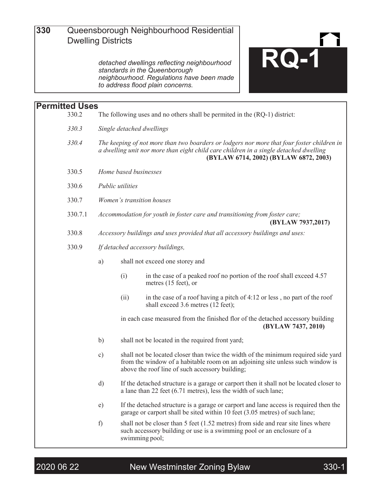

*detached dwellings reflecting neighbourhood standards in the Queenborough neighbourhood. Regulations have been made to address flood plain concerns.*

# **Permitted Uses** The following uses and no others shall be permited in the (RQ-1) district: *330.3 Single detached dwellings 330.4 The keeping of not more than two boarders or lodgers nor more that four foster children in a dwelling unit nor more than eight child care children in a single detached dwelling* **(BYLAW 6714, 2002) (BYLAW 6872, 2003)** 330.5 *Home based businesses* 330.6 *Public utilities* 330.7 *Women's transition houses* 330.7.1 *Accommodation for youth in foster care and transitioning from foster care;* **(BYLAW 7937,2017)** 330.8 *Accessory buildings and uses provided that all accessory buildings and uses:* 330.9 *If detached accessory buildings,* a) shall not exceed one storey and (i) in the case of a peaked roof no portion of the roof shall exceed 4.57 metres (15 feet), or (ii) in the case of a roof having a pitch of  $4:12$  or less, no part of the roof shall exceed 3.6 metres (12 feet); in each case measured from the finished flor of the detached accessory building **(BYLAW 7437, 2010)** b) shall not be located in the required front yard; c) shall not be located closer than twice the width of the minimum required side yard from the window of a habitable room on an adjoining site unless such window is above the roof line of such accessory building; d) If the detached structure is a garage or carport then it shall not be located closer to a lane than 22 feet (6.71 metres), less the width of such lane; e) If the detached structure is a garage or carport and lane access is required then the garage or carport shall be sited within 10 feet (3.05 metres) of such lane; f) shall not be closer than 5 feet  $(1.52 \text{ metres})$  from side and rear site lines where such accessory building or use is a swimming pool or an enclosure of a swimming pool;

2020 06 22 New Westminster Zoning Bylaw 330-1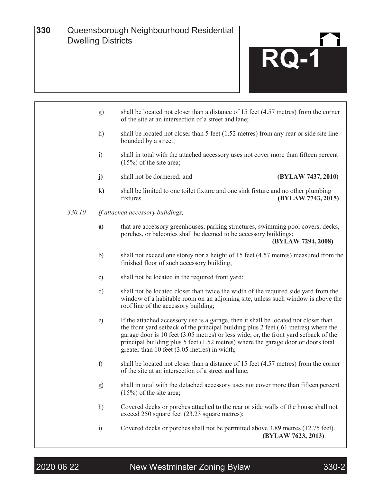

- f) shall be located not closer than a distance of 15 feet (4.57 metres) from the corner of the site at an intersection of a street and lane;
- g) shall in total with the detached accessory uses not cover more than fifteen percent (15%) of the site area;
- h) Covered decks or porches attached to the rear or side walls of the house shall not exceed 250 square feet (23.23 square metres);
- i) Covered decks or porches shall not be permitted above 3.89 metres (12.75 feet). **(BYLAW 7623, 2013)**.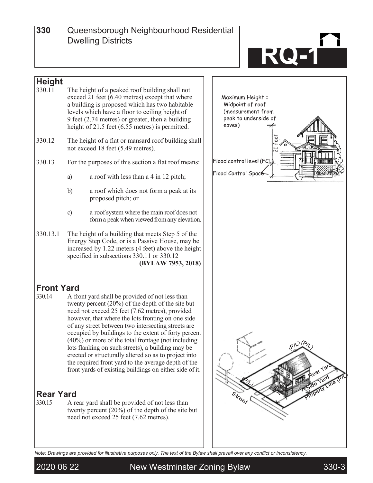**330**

**<sup>300</sup>** Queensborough Neighbourhood Residential Dwelling Districts



# **Height**<br>330.11

- The height of a peaked roof building shall not exceed 21 feet  $(6.40 \text{ metres})$  except that where a building is proposed which has two habitable levels which have a floor to ceiling height of 9 feet (2.74 metres) or greater, then a building height of 21.5 feet (6.55 metres) is permitted.
- 330.12 The height of a flat or mansard roof building shall not exceed 18 feet (5.49 metres).
- 330.13 For the purposes of this section a flat roof means:
	- a) a roof with less than a 4 in 12 pitch;
	- b) a roof which does not form a peak at its proposed pitch; or
	- c) a roof system where the main roof does not forma peakwhen viewed fromany elevation.
- 330.13.1 The height of a building that meets Step 5 of the Energy Step Code, or is a Passive House, may be increased by 1.22 meters (4 feet) above the height specified in subsections 330.11 or 330.12 **(BYLAW 7953, 2018)**

# **Front Yard**<br>330.14 A fro

A front yard shall be provided of not less than twenty percent (20%) of the depth of the site but need not exceed 25 feet (7.62 metres), provided however, that where the lots fronting on one side of any street between two intersecting streets are occupied by buildings to the extent of forty percent (40%) or more of the total frontage (not including lots flanking on such streets), a building may be erected or structurally altered so as to project into the required front yard to the average depth of the front yards of existing buildings on either side of it.

# **Rear Yard**<br>330.15 A re

A rear yard shall be provided of not less than twenty percent  $(20\%)$  of the depth of the site but need not exceed 25 feet (7.62 metres).



*Note: Drawings are provided for illustrative purposes only. The text of the Bylaw shall prevail over any conflict or inconsistency.*

2020 06 22 New Westminster Zoning Bylaw 330-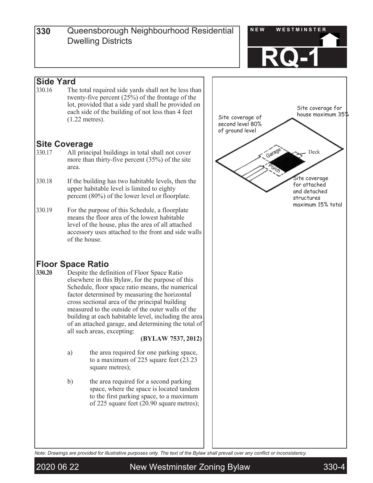

# **Side Yard**<br>330.16 The

The total required side yards shall not be less than twenty-five percent (25%) of the frontage of the lot, provided that a side yard shall be provided on each side of the building of not less than 4 feet (1.22 metres).

# **Site Coverage**<br>
330.17 All princi

- All principal buildings in total shall not cover more than thirty-five percent (35%) of the site area.
- 330.18 If the building has two habitable levels, then the upper habitable level is limited to eighty percent (80%) of the lower level or floorplate.
- 330.19 For the purpose of this Schedule, a floorplate means the floor area of the lowest habitable level of the house, plus the area of all attached accessory uses attached to the front and side walls of the house.

# **Floor Space Ratio**<br>330.20 Despite the defi

**330.20** Despite the definition of Floor Space Ratio elsewhere in this Bylaw, for the purpose of this Schedule, floor space ratio means, the numerical factor determined by measuring the horizontal cross sectional area of the principal building measured to the outside of the outer walls of the building at each habitable level, including the area of an attached garage, and determining the total of all such areas, excepting:

**(BYLAW 7537, 2012)**

- a) the area required for one parking space, to a maximum of 225 square feet (23.23 square metres);
- b) the area required for a second parking space, where the space is located tandem to the first parking space, to a maximum of 225 square feet (20.90 square metres);



*Note: Drawings are provided for illustrative purposes only. The text of the Bylaw shall prevail over any conflict or inconsistency.*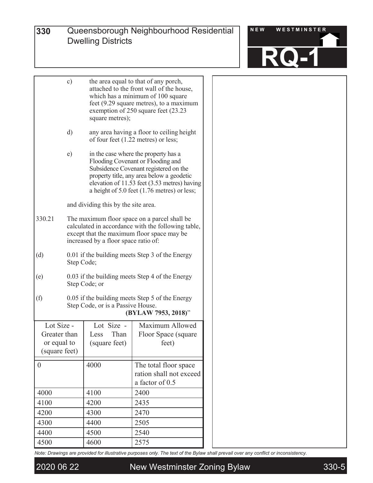

|                                                            | c)                                                                                                                                                                                                                                                                       | the area equal to that of any porch,<br>attached to the front wall of the house,<br>which has a minimum of 100 square<br>feet (9.29 square metres), to a maximum<br>exemption of 250 square feet (23.23) |                                                                                            |  |
|------------------------------------------------------------|--------------------------------------------------------------------------------------------------------------------------------------------------------------------------------------------------------------------------------------------------------------------------|----------------------------------------------------------------------------------------------------------------------------------------------------------------------------------------------------------|--------------------------------------------------------------------------------------------|--|
|                                                            | $\rm d)$                                                                                                                                                                                                                                                                 |                                                                                                                                                                                                          | any area having a floor to ceiling height<br>of four feet $(1.22 \text{ metres})$ or less; |  |
|                                                            | e)<br>in the case where the property has a<br>Flooding Covenant or Flooding and<br>Subsidence Covenant registered on the<br>property title, any area below a geodetic<br>elevation of 11.53 feet (3.53 metres) having<br>a height of $5.0$ feet $(1.76$ metres) or less; |                                                                                                                                                                                                          |                                                                                            |  |
|                                                            |                                                                                                                                                                                                                                                                          | and dividing this by the site area.                                                                                                                                                                      |                                                                                            |  |
| 330.21                                                     | The maximum floor space on a parcel shall be<br>calculated in accordance with the following table,<br>except that the maximum floor space may be<br>increased by a floor space ratio of:                                                                                 |                                                                                                                                                                                                          |                                                                                            |  |
| (d)                                                        | 0.01 if the building meets Step 3 of the Energy<br>Step Code;                                                                                                                                                                                                            |                                                                                                                                                                                                          |                                                                                            |  |
| (e)                                                        | 0.03 if the building meets Step 4 of the Energy<br>Step Code; or                                                                                                                                                                                                         |                                                                                                                                                                                                          |                                                                                            |  |
| (f)                                                        | 0.05 if the building meets Step 5 of the Energy<br>Step Code, or is a Passive House.<br>(BYLAW 7953, 2018)"                                                                                                                                                              |                                                                                                                                                                                                          |                                                                                            |  |
| Lot Size -<br>Greater than<br>or equal to<br>(square feet) |                                                                                                                                                                                                                                                                          | Lot Size -<br>Than<br>Less<br>(square feet)                                                                                                                                                              | Maximum Allowed<br>Floor Space (square)<br>feet)                                           |  |
| $\boldsymbol{0}$                                           |                                                                                                                                                                                                                                                                          | 4000                                                                                                                                                                                                     | The total floor space<br>ration shall not exceed<br>a factor of 0.5                        |  |
| 4000                                                       |                                                                                                                                                                                                                                                                          | 4100                                                                                                                                                                                                     | 2400                                                                                       |  |
| 4100                                                       |                                                                                                                                                                                                                                                                          | 4200                                                                                                                                                                                                     | 2435                                                                                       |  |
| 4200                                                       |                                                                                                                                                                                                                                                                          | 4300                                                                                                                                                                                                     | 2470                                                                                       |  |
| 4300                                                       |                                                                                                                                                                                                                                                                          | 4400                                                                                                                                                                                                     | 2505                                                                                       |  |
| 4400                                                       |                                                                                                                                                                                                                                                                          | 4500                                                                                                                                                                                                     | 2540                                                                                       |  |
| 4500                                                       |                                                                                                                                                                                                                                                                          | 4600                                                                                                                                                                                                     | 2575                                                                                       |  |

*Note: Drawings are provided for illustrative purposes only. The text of the Bylaw shall prevail over any conflict or inconsistency.*

2020 06 22 New Westminster Zoning Bylaw 330-5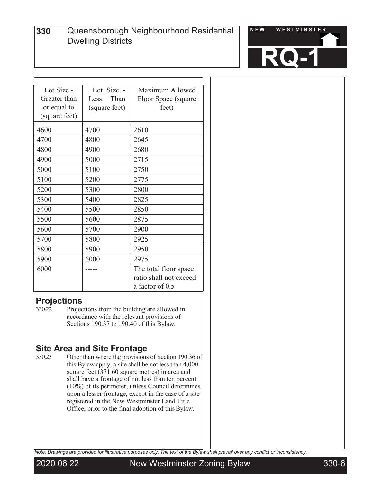

| Lot Size -    | Lot Size -    | Maximum Allowed        |
|---------------|---------------|------------------------|
| Greater than  | Than<br>Less  | Floor Space (square    |
| or equal to   | (square feet) | feet)                  |
| (square feet) |               |                        |
| 4600          | 4700          | 2610                   |
| 4700          | 4800          | 2645                   |
| 4800          | 4900          | 2680                   |
| 4900          | 5000          | 2715                   |
| 5000          | 5100          | 2750                   |
| 5100          | 5200          | 2775                   |
| 5200          | 5300          | 2800                   |
| 5300          | 5400          | 2825                   |
| 5400          | 5500          | 2850                   |
| 5500          | 5600          | 2875                   |
| 5600          | 5700          | 2900                   |
| 5700          | 5800          | 2925                   |
| 5800          | 5900          | 2950                   |
| 5900          | 6000          | 2975                   |
| 6000          |               | The total floor space  |
|               |               | ratio shall not exceed |
|               |               | a factor of 0.5        |

# **Projections**<br>330.22 Projection

Projections from the building are allowed in accordance with the relevant provisions of Sections 190.37 to 190.40 of this Bylaw.

# **Site Area and Site Frontage**<br>330.23 Other than where the provisions

Other than where the provisions of Section 190.36 of this Bylaw apply, a site shall be not less than 4,000 square feet (371.60 square metres) in area and shall have a frontage of not less than ten percent (10%) of its perimeter, unless Council determines upon a lesser frontage, except in the case of a site registered in the New Westminster Land Title Office, prior to the final adoption of thisBylaw.

*Note: Drawings are provided for illustrative purposes only. The text of the Bylaw shall prevail over any conflict or inconsistency.*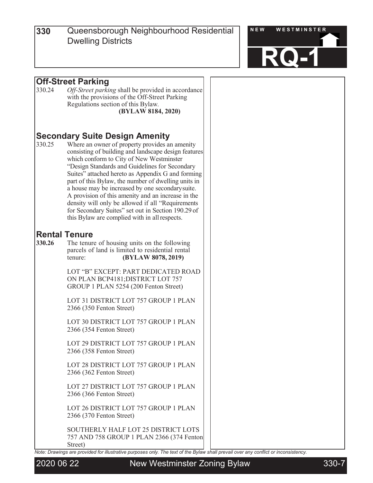

# **Off-Street Parking**<br>330.24 *Off-Street parki*

Off-Street parking shall be provided in accordance with the provisions of the Off-Street Parking Regulations section of this Bylaw*.* **(BYLAW 8184, 2020)**

# **Secondary Suite Design Amenity**<br>330.25 Where an owner of property provides an

Where an owner of property provides an amenity consisting of building and landscape design features which conform to City of New Westminster "Design Standards and Guidelines for Secondary Suites" attached hereto as Appendix G and forming part of this Bylaw, the number of dwelling units in a house may be increased by one secondarysuite. A provision of this amenity and an increase in the density will only be allowed if all "Requirements for Secondary Suites" set out in Section 190.29 of this Bylaw are complied with in allrespects.

# **Rental Tenure**<br>330.26 The tenur

**330.26** The tenure of housing units on the following parcels of land is limited to residential rental tenure: **(BYLAW 8078, 2019)** LOT "B" EXCEPT: PART DEDICATED ROAD ON PLAN BCP4181;DISTRICT LOT 757 GROUP 1 PLAN 5254 (200 Fenton Street) LOT 31 DISTRICT LOT 757 GROUP 1 PLAN 2366 (350 Fenton Street) LOT 30 DISTRICT LOT 757 GROUP 1 PLAN 2366 (354 Fenton Street) LOT 29 DISTRICT LOT 757 GROUP 1 PLAN 2366 (358 Fenton Street) LOT 28 DISTRICT LOT 757 GROUP 1 PLAN 2366 (362 Fenton Street)

> LOT 27 DISTRICT LOT 757 GROUP 1 PLAN 2366 (366 Fenton Street)

> LOT 26 DISTRICT LOT 757 GROUP 1 PLAN 2366 (370 Fenton Street)

SOUTHERLY HALF LOT 25 DISTRICT LOTS 757 AND 758 GROUP 1 PLAN 2366 (374 Fenton Street)

*Note: Drawings are provided for illustrative purposes only. The text of the Bylaw shall prevail over any conflict or inconsistency.*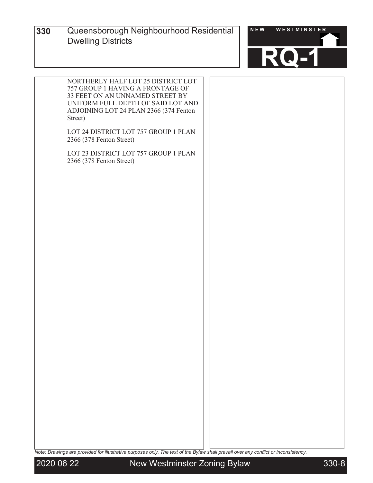

| NORTHERLY HALF LOT 25 DISTRICT LOT     |  |
|----------------------------------------|--|
| 757 GROUP 1 HAVING A FRONTAGE OF       |  |
| 33 FEET ON AN UNNAMED STREET BY        |  |
| UNIFORM FULL DEPTH OF SAID LOT AND     |  |
| ADJOINING LOT 24 PLAN 2366 (374 Fenton |  |
| Street)                                |  |
|                                        |  |
| LOT 24 DISTRICT LOT 757 GROUP 1 PLAN   |  |
| 2366 (378 Fenton Street)               |  |
|                                        |  |
| LOT 23 DISTRICT LOT 757 GROUP 1 PLAN   |  |
| 2366 (378 Fenton Street)               |  |
|                                        |  |
|                                        |  |
|                                        |  |
|                                        |  |
|                                        |  |
|                                        |  |
|                                        |  |
|                                        |  |
|                                        |  |
|                                        |  |
|                                        |  |
|                                        |  |
|                                        |  |
|                                        |  |
|                                        |  |
|                                        |  |
|                                        |  |
|                                        |  |
|                                        |  |
|                                        |  |
|                                        |  |
|                                        |  |
|                                        |  |
|                                        |  |
|                                        |  |
|                                        |  |
|                                        |  |
|                                        |  |
|                                        |  |
|                                        |  |
|                                        |  |
|                                        |  |
|                                        |  |
|                                        |  |
|                                        |  |
|                                        |  |
|                                        |  |
|                                        |  |
|                                        |  |
|                                        |  |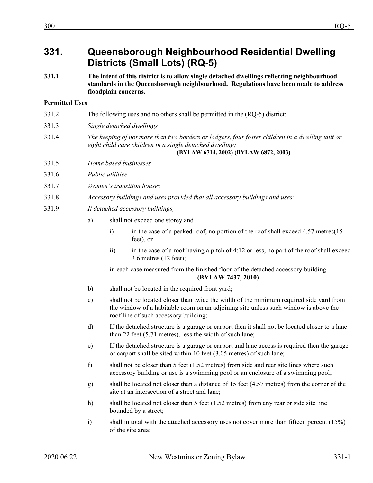# **331. Queensborough Neighbourhood Residential Dwelling Districts (Small Lots) (RQ-5)**

**331.1 The intent of this district is to allow single detached dwellings reflecting neighbourhood standards in the Queensborough neighbourhood. Regulations have been made to address floodplain concerns.**

# **Permitted Uses**

|       | (BYLAW 6714, 2002) (BYLAW 6872, 2003)                                                                                                                       |
|-------|-------------------------------------------------------------------------------------------------------------------------------------------------------------|
| 331.4 | The keeping of not more than two borders or lodgers, four foster children in a dwelling unit or<br>eight child care children in a single detached dwelling; |
| 331.3 | Single detached dwellings                                                                                                                                   |
| 331.2 | The following uses and no others shall be permitted in the (RQ-5) district:                                                                                 |

- 331.5 *Home based businesses*
- 331.6 *Public utilities*
- 331.7 *Women's transition houses*
- 331.8 *Accessory buildings and uses provided that all accessory buildings and uses:*
- 331.9 *If detached accessory buildings,*
	- a) shall not exceed one storey and
		- i) in the case of a peaked roof, no portion of the roof shall exceed 4.57 metres(15 feet), or
		- ii) in the case of a roof having a pitch of 4:12 or less, no part of the roof shall exceed 3.6 metres (12 feet);

in each case measured from the finished floor of the detached accessory building. **(BYLAW 7437, 2010)**

- b) shall not be located in the required front yard;
- c) shall not be located closer than twice the width of the minimum required side yard from the window of a habitable room on an adjoining site unless such window is above the roof line of such accessory building;
- d) If the detached structure is a garage or carport then it shall not be located closer to a lane than 22 feet (5.71 metres), less the width of such lane;
- e) If the detached structure is a garage or carport and lane access is required then the garage or carport shall be sited within 10 feet (3.05 metres) of such lane;
- f) shall not be closer than 5 feet (1.52 metres) from side and rear site lines where such accessory building or use is a swimming pool or an enclosure of a swimming pool;
- g) shall be located not closer than a distance of 15 feet (4.57 metres) from the corner of the site at an intersection of a street and lane;
- h) shall be located not closer than 5 feet (1.52 metres) from any rear or side site line bounded by a street;
- i) shall in total with the attached accessory uses not cover more than fifteen percent (15%) of the site area;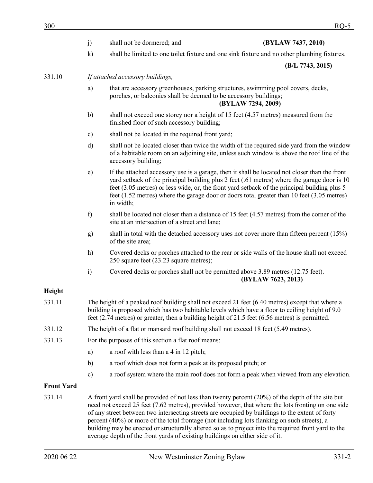| 300               |               |                                                                                                                                                                                                                                                                                                      | RO-5                                                                                                                                                                                                                                                                                                                                                                                       |
|-------------------|---------------|------------------------------------------------------------------------------------------------------------------------------------------------------------------------------------------------------------------------------------------------------------------------------------------------------|--------------------------------------------------------------------------------------------------------------------------------------------------------------------------------------------------------------------------------------------------------------------------------------------------------------------------------------------------------------------------------------------|
|                   | j)            | shall not be dormered; and                                                                                                                                                                                                                                                                           | (BYLAW 7437, 2010)                                                                                                                                                                                                                                                                                                                                                                         |
|                   | $\mathbf{k}$  |                                                                                                                                                                                                                                                                                                      | shall be limited to one toilet fixture and one sink fixture and no other plumbing fixtures.                                                                                                                                                                                                                                                                                                |
|                   |               |                                                                                                                                                                                                                                                                                                      | (B/L 7743, 2015)                                                                                                                                                                                                                                                                                                                                                                           |
| 331.10            |               | If attached accessory buildings,                                                                                                                                                                                                                                                                     |                                                                                                                                                                                                                                                                                                                                                                                            |
|                   | a)            | that are accessory greenhouses, parking structures, swimming pool covers, decks,<br>porches, or balconies shall be deemed to be accessory buildings;                                                                                                                                                 | (BYLAW 7294, 2009)                                                                                                                                                                                                                                                                                                                                                                         |
|                   | b)            | shall not exceed one storey nor a height of 15 feet (4.57 metres) measured from the<br>finished floor of such accessory building;                                                                                                                                                                    |                                                                                                                                                                                                                                                                                                                                                                                            |
|                   | $\mathbf{c})$ | shall not be located in the required front yard;                                                                                                                                                                                                                                                     |                                                                                                                                                                                                                                                                                                                                                                                            |
|                   | d)            | accessory building;                                                                                                                                                                                                                                                                                  | shall not be located closer than twice the width of the required side yard from the window<br>of a habitable room on an adjoining site, unless such window is above the roof line of the                                                                                                                                                                                                   |
|                   | $\epsilon$ )  | in width;                                                                                                                                                                                                                                                                                            | If the attached accessory use is a garage, then it shall be located not closer than the front<br>yard setback of the principal building plus 2 feet (.61 metres) where the garage door is 10<br>feet (3.05 metres) or less wide, or, the front yard setback of the principal building plus 5<br>feet (1.52 metres) where the garage door or doors total greater than 10 feet (3.05 metres) |
|                   | f)            | site at an intersection of a street and lane;                                                                                                                                                                                                                                                        | shall be located not closer than a distance of 15 feet (4.57 metres) from the corner of the                                                                                                                                                                                                                                                                                                |
|                   | g)            | of the site area;                                                                                                                                                                                                                                                                                    | shall in total with the detached accessory uses not cover more than fifteen percent $(15%)$                                                                                                                                                                                                                                                                                                |
|                   | h)            | 250 square feet (23.23 square metres);                                                                                                                                                                                                                                                               | Covered decks or porches attached to the rear or side walls of the house shall not exceed                                                                                                                                                                                                                                                                                                  |
|                   | i)            | Covered decks or porches shall not be permitted above 3.89 metres (12.75 feet).                                                                                                                                                                                                                      | (BYLAW 7623, 2013)                                                                                                                                                                                                                                                                                                                                                                         |
| Height            |               |                                                                                                                                                                                                                                                                                                      |                                                                                                                                                                                                                                                                                                                                                                                            |
| 331.11            |               | The height of a peaked roof building shall not exceed 21 feet (6.40 metres) except that where a<br>building is proposed which has two habitable levels which have a floor to ceiling height of 9.0<br>feet (2.74 metres) or greater, then a building height of 21.5 feet (6.56 metres) is permitted. |                                                                                                                                                                                                                                                                                                                                                                                            |
| 331.12            |               | The height of a flat or mansard roof building shall not exceed 18 feet (5.49 metres).                                                                                                                                                                                                                |                                                                                                                                                                                                                                                                                                                                                                                            |
| 331.13            |               | For the purposes of this section a flat roof means:                                                                                                                                                                                                                                                  |                                                                                                                                                                                                                                                                                                                                                                                            |
|                   | a)            | a roof with less than a 4 in 12 pitch;                                                                                                                                                                                                                                                               |                                                                                                                                                                                                                                                                                                                                                                                            |
|                   | b)            | a roof which does not form a peak at its proposed pitch; or                                                                                                                                                                                                                                          |                                                                                                                                                                                                                                                                                                                                                                                            |
|                   | $\mathbf{c})$ |                                                                                                                                                                                                                                                                                                      | a roof system where the main roof does not form a peak when viewed from any elevation.                                                                                                                                                                                                                                                                                                     |
| <b>Front Yard</b> |               |                                                                                                                                                                                                                                                                                                      |                                                                                                                                                                                                                                                                                                                                                                                            |
| 331.14            |               | A front yard shall be provided of not less than twenty percent $(20%)$ of the depth of the site but                                                                                                                                                                                                  | need not exceed 25 feet (7.62 metres), provided however, that where the lots fronting on one side                                                                                                                                                                                                                                                                                          |

need not exceed 25 feet (7.62 metres), provided however, that where the lots fronting on one side of any street between two intersecting streets are occupied by buildings to the extent of forty percent (40%) or more of the total frontage (not including lots flanking on such streets), a building may be erected or structurally altered so as to project into the required front yard to the average depth of the front yards of existing buildings on either side of it.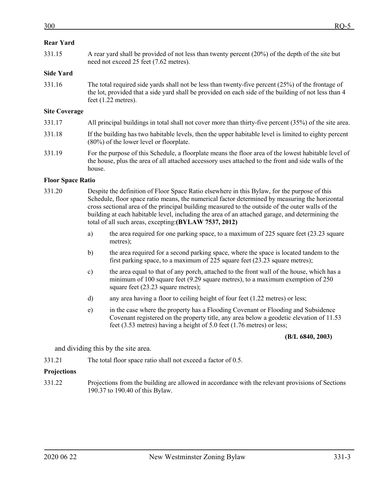331.15 A rear yard shall be provided of not less than twenty percent (20%) of the depth of the site but need not exceed 25 feet (7.62 metres).

## **Side Yard**

331.16 The total required side yards shall not be less than twenty-five percent (25%) of the frontage of the lot, provided that a side yard shall be provided on each side of the building of not less than 4 feet (1.22 metres).

## **Site Coverage**

- 331.17 All principal buildings in total shall not cover more than thirty-five percent (35%) of the site area.
- 331.18 If the building has two habitable levels, then the upper habitable level is limited to eighty percent (80%) of the lower level or floorplate.
- 331.19 For the purpose of this Schedule, a floorplate means the floor area of the lowest habitable level of the house, plus the area of all attached accessory uses attached to the front and side walls of the house.

## **Floor Space Ratio**

- 331.20 Despite the definition of Floor Space Ratio elsewhere in this Bylaw, for the purpose of this Schedule, floor space ratio means, the numerical factor determined by measuring the horizontal cross sectional area of the principal building measured to the outside of the outer walls of the building at each habitable level, including the area of an attached garage, and determining the total of all such areas, excepting:**(BYLAW 7537, 2012)**
	- a) the area required for one parking space, to a maximum of 225 square feet (23.23 square metres);
	- b) the area required for a second parking space, where the space is located tandem to the first parking space, to a maximum of 225 square feet (23.23 square metres);
	- c) the area equal to that of any porch, attached to the front wall of the house, which has a minimum of 100 square feet (9.29 square metres), to a maximum exemption of 250 square feet (23.23 square metres);
	- d) any area having a floor to ceiling height of four feet (1.22 metres) or less;
	- e) in the case where the property has a Flooding Covenant or Flooding and Subsidence Covenant registered on the property title, any area below a geodetic elevation of 11.53 feet (3.53 metres) having a height of 5.0 feet (1.76 metres) or less;

#### **(B/L 6840, 2003)**

and dividing this by the site area.

331.21 The total floor space ratio shall not exceed a factor of 0.5.

#### **Projections**

331.22 Projections from the building are allowed in accordance with the relevant provisions of Sections 190.37 to 190.40 of this Bylaw.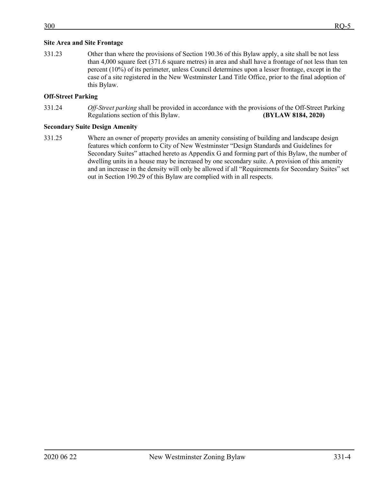## **Site Area and Site Frontage**

331.23 Other than where the provisions of Section 190.36 of this Bylaw apply, a site shall be not less than 4,000 square feet (371.6 square metres) in area and shall have a frontage of not less than ten percent (10%) of its perimeter, unless Council determines upon a lesser frontage, except in the case of a site registered in the New Westminster Land Title Office, prior to the final adoption of this Bylaw.

# **Off-Street Parking**

331.24 *Off-Street parking* shall be provided in accordance with the provisions of the Off-Street Parking Regulations section of this Bylaw. **(BYLAW 8184, 2020)**

## **Secondary Suite Design Amenity**

331.25 Where an owner of property provides an amenity consisting of building and landscape design features which conform to City of New Westminster "Design Standards and Guidelines for Secondary Suites" attached hereto as Appendix G and forming part of this Bylaw, the number of dwelling units in a house may be increased by one secondary suite. A provision of this amenity and an increase in the density will only be allowed if all "Requirements for Secondary Suites" set out in Section 190.29 of this Bylaw are complied with in all respects.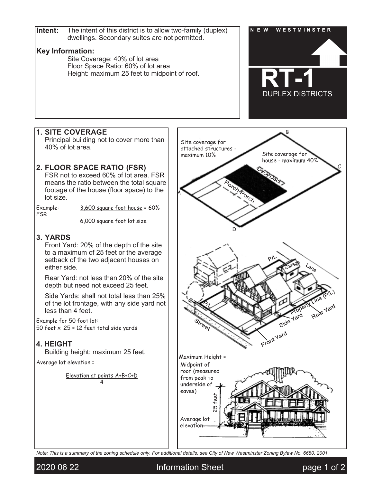

*Note: This is a summary of the zoning schedule only. For additional details, see City of New Westminster Zoning Bylaw No. 6680, 2001.*

2020 06 22 **Information Sheet page 1 of 2**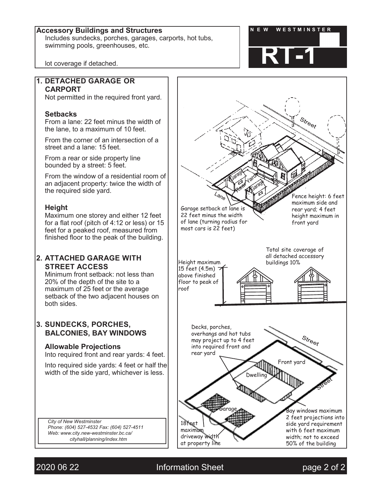# Accessory Buildings and Structures **N ACCESSORY BUILDING ACCESSORY** BUILDING TER

Includes sundecks, porches, garages, carports, hot tubs, swimming pools, greenhouses, etc.



lot coverage if detached.

# **1. DETACHED GARAGE OR CARPORT**

Not permitted in the required front yard.

# **Setbacks**

From a lane: 22 feet minus the width of the lane, to a maximum of 10 feet.

From the corner of an intersection of a street and a lane: 15 feet.

From a rear or side property line bounded by a street: 5 feet.

From the window of a residential room of an adjacent property: twice the width of the required side yard.

# **Height**

Maximum one storey and either 12 feet for a flat roof (pitch of 4:12 or less) or 15 feet for a peaked roof, measured from finished floor to the peak of the building.

# **2. ATTACHED GARAGE WITH STREET ACCESS**

Minimum front setback: not less than 20% of the depth of the site to a maximum of 25 feet or the average setback of the two adjacent houses on both sides.

# **3. SUNDECKS, PORCHES, BALCONIES, BAY WINDOWS**

# **Allowable Projections**

Into required front and rear yards: 4 feet.

Into required side yards: 4 feet or half the width of the side yard, whichever is less.

*City of New Westminster Phone: (604) 527-4532 Fax: (604) 527-4511 Web: [www.city.new-westminster.bc.ca/](http://www.city.new-westminster.bc.ca/) cityhall/planning/index.htm*



2020 06 22 Information Sheet page 2 of 2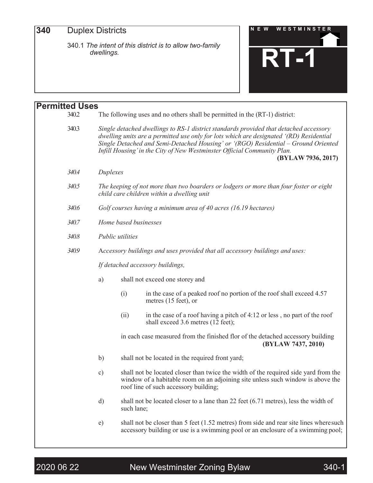**340**

340.1 *The intent of this district is to allow two-family dwellings.*



| <b>Permitted Uses</b> |                       |                                                                                                                                                                                                                                                                                                                                                                         |
|-----------------------|-----------------------|-------------------------------------------------------------------------------------------------------------------------------------------------------------------------------------------------------------------------------------------------------------------------------------------------------------------------------------------------------------------------|
| 340.2                 |                       | The following uses and no others shall be permitted in the (RT-1) district:                                                                                                                                                                                                                                                                                             |
| 340.3                 |                       | Single detached dwellings to RS-1 district standards provided that detached accessory<br>dwelling units are a permitted use only for lots which are designated '(RD) Residential<br>Single Detached and Semi-Detached Housing' or '(RGO) Residential - Ground Oriented<br>Infill Housing' in the City of New Westminster Official Community Plan.<br>(BYLAW 7936, 2017) |
| 340.4                 | Duplexes              |                                                                                                                                                                                                                                                                                                                                                                         |
| 340.5                 |                       | The keeping of not more than two boarders or lodgers or more than four foster or eight<br>child care children within a dwelling unit                                                                                                                                                                                                                                    |
| 340.6                 |                       | Golf courses having a minimum area of 40 acres (16.19 hectares)                                                                                                                                                                                                                                                                                                         |
| 340.7                 | Home based businesses |                                                                                                                                                                                                                                                                                                                                                                         |
| 340.8                 | Public utilities      |                                                                                                                                                                                                                                                                                                                                                                         |
| 340.9                 |                       | Accessory buildings and uses provided that all accessory buildings and uses:                                                                                                                                                                                                                                                                                            |
|                       |                       | If detached accessory buildings,                                                                                                                                                                                                                                                                                                                                        |
|                       | a)                    | shall not exceed one storey and                                                                                                                                                                                                                                                                                                                                         |
|                       | (i)                   | in the case of a peaked roof no portion of the roof shall exceed 4.57<br>metres (15 feet), or                                                                                                                                                                                                                                                                           |
|                       | (ii)                  | in the case of a roof having a pitch of 4:12 or less, no part of the roof<br>shall exceed 3.6 metres (12 feet);                                                                                                                                                                                                                                                         |
|                       |                       | in each case measured from the finished flor of the detached accessory building<br>(BYLAW 7437, 2010)                                                                                                                                                                                                                                                                   |
|                       | b)                    | shall not be located in the required front yard;                                                                                                                                                                                                                                                                                                                        |
|                       | c)                    | shall not be located closer than twice the width of the required side yard from the<br>window of a habitable room on an adjoining site unless such window is above the<br>roof line of such accessory building;                                                                                                                                                         |
|                       | d)                    | shall not be located closer to a lane than 22 feet (6.71 metres), less the width of<br>such lane;                                                                                                                                                                                                                                                                       |
|                       | e)                    | shall not be closer than 5 feet (1.52 metres) from side and rear site lines where such<br>accessory building or use is a swimming pool or an enclosure of a swimming pool;                                                                                                                                                                                              |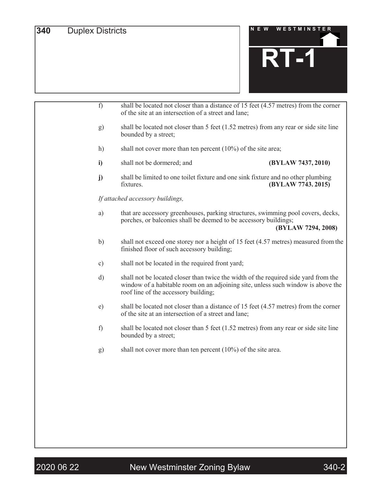

| f)           | shall be located not closer than a distance of 15 feet (4.57 metres) from the corner<br>of the site at an intersection of a street and lane;                                                                    |  |
|--------------|-----------------------------------------------------------------------------------------------------------------------------------------------------------------------------------------------------------------|--|
| g)           | shall be located not closer than $5$ feet (1.52 metres) from any rear or side site line<br>bounded by a street;                                                                                                 |  |
| h)           | shall not cover more than ten percent $(10\%)$ of the site area;                                                                                                                                                |  |
| i)           | shall not be dormered; and<br>(BYLAW 7437, 2010)                                                                                                                                                                |  |
| j)           | shall be limited to one toilet fixture and one sink fixture and no other plumbing<br>fixtures.<br>(BYLAW 7743.2015)                                                                                             |  |
|              | If attached accessory buildings,                                                                                                                                                                                |  |
| a)           | that are accessory greenhouses, parking structures, swimming pool covers, decks,<br>porches, or balconies shall be deemed to be accessory buildings;<br>(BYLAW 7294, 2008)                                      |  |
| b)           | shall not exceed one storey nor a height of 15 feet (4.57 metres) measured from the<br>finished floor of such accessory building;                                                                               |  |
| c)           | shall not be located in the required front yard;                                                                                                                                                                |  |
| $\rm d)$     | shall not be located closer than twice the width of the required side yard from the<br>window of a habitable room on an adjoining site, unless such window is above the<br>roof line of the accessory building; |  |
| $\epsilon$ ) | shall be located not closer than a distance of 15 feet (4.57 metres) from the corner<br>of the site at an intersection of a street and lane;                                                                    |  |
| f)           | shall be located not closer than 5 feet $(1.52 \text{ metres})$ from any rear or side site line<br>bounded by a street;                                                                                         |  |
| g)           | shall not cover more than ten percent $(10\%)$ of the site area.                                                                                                                                                |  |
|              |                                                                                                                                                                                                                 |  |
|              |                                                                                                                                                                                                                 |  |
|              |                                                                                                                                                                                                                 |  |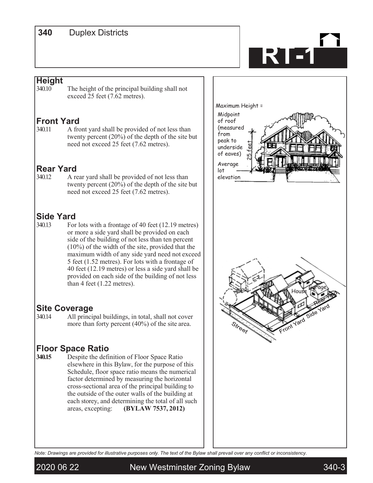# **<sup>300</sup> <sup>340</sup>** Duplex Districts

# **RT-1**

# **Height**

The height of the principal building shall not exceed 25 feet (7.62 metres).

# **Front Yard**

340.11 A front yard shall be provided of not less than twenty percent (20%) of the depth of the site but need not exceed 25 feet (7.62 metres).

# **Rear Yard**<br>340.12 A re

A rear yard shall be provided of not less than twenty percent (20%) of the depth of the site but need not exceed 25 feet (7.62 metres).

# **Side Yard**<br>340.13 For

For lots with a frontage of 40 feet (12.19 metres) or more a side yard shall be provided on each side of the building of not less than ten percent (10%) of the width of the site, provided that the maximum width of any side yard need not exceed 5 feet (1.52 metres). For lots with a frontage of 40 feet (12.19 metres) or less a side yard shall be provided on each side of the building of not less than 4 feet (1.22 metres).

# **Site Coverage**<br>340.14 All princi

All principal buildings, in total, shall not cover more than forty percent (40%) of the site area.

# **Floor Space Ratio**<br>340.15 Despite the defi

Despite the definition of Floor Space Ratio elsewhere in this Bylaw, for the purpose of this Schedule, floor space ratio means the numerical factor determined by measuring the horizontal cross-sectional area of the principal building to the outside of the outer walls of the building at each storey, and determining the total of all such areas, excepting: **(BYLAW 7537, 2012)**



*Note: Drawings are provided for illustrative purposes only. The text of the Bylaw shall prevail over any conflict or inconsistency.*



2020 06 22 New Westminster Zoning Bylaw 340-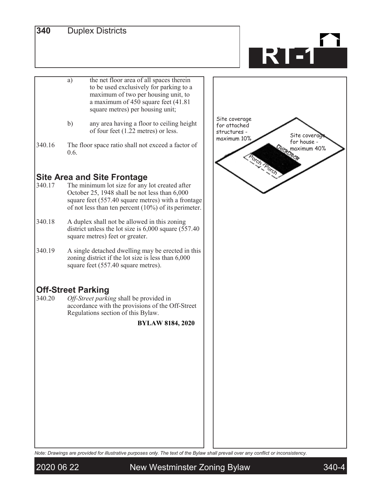# **340** Duplex Districts

# **RT-1**

- the net floor area of all spaces therein to be used exclusively for parking to a maximum of two per housing unit, to a maximum of 450 square feet (41.81 square metres) per housing unit; a)
- any area having a floor to ceiling height of four feet (1.22 metres) or less. b)
- The floor space ratio shall not exceed a factor of 0.6. 340.16

# **Site Area and Site Frontage**<br>340.17 The minimum lot size for any

- The minimum lot size for any lot created after October 25, 1948 shall be not less than 6,000 square feet (557.40 square metres) with a frontage of not less than ten percent (10%) of its perimeter.
- A duplex shall not be allowed in this zoning district unless the lot size is 6,000 square (557.40 square metres) feet or greater. 340.18
- A single detached dwelling may be erected in this zoning district if the lot size is less than 6,000 square feet (557.40 square metres). 340.19

# **Off-Street Parking**<br>340.20 *Off-Street parki*

Off-Street parking shall be provided in accordance with the provisions of the Off-Street Regulations section of this Bylaw.

# **BYLAW 8184, 2020**



*Note: Drawings are provided for illustrative purposes only. The text of the Bylaw shall prevail over any conflict or inconsistency.*

2020 06 22 New Westminster Zoning Bylaw 340-4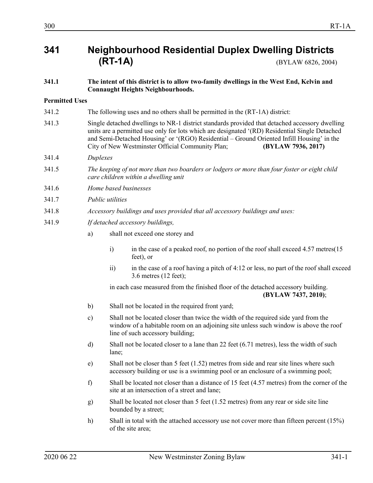# **341 Neighbourhood Residential Duplex Dwelling Districts (RT-1A)** (BYLAW 6826, 2004)

## **341.1 The intent of this district is to allow two-family dwellings in the West End, Kelvin and Connaught Heights Neighbourhoods.**

# **Permitted Uses**

- 341.2 The following uses and no others shall be permitted in the (RT-1A) district:
- 341.3 Single detached dwellings to NR-1 district standards provided that detached accessory dwelling units are a permitted use only for lots which are designated '(RD) Residential Single Detached and Semi-Detached Housing' or '(RGO) Residential – Ground Oriented Infill Housing' in the City of New Westminster Official Community Plan; **(BYLAW 7936, 2017)**
- 341.4 *Duplexes*
- 341.5 *The keeping of not more than two boarders or lodgers or more than four foster or eight child care children within a dwelling unit*
- 341.6 *Home based businesses*
- 341.7 *Public utilities*
- 341.8 *Accessory buildings and uses provided that all accessory buildings and uses:*
- 341.9 *If detached accessory buildings,*
	- a) shall not exceed one storey and
		- i) in the case of a peaked roof, no portion of the roof shall exceed 4.57 metres (15 feet), or
		- ii) in the case of a roof having a pitch of 4:12 or less, no part of the roof shall exceed 3.6 metres (12 feet);

in each case measured from the finished floor of the detached accessory building. **(BYLAW 7437, 2010)**;

- b) Shall not be located in the required front yard;
- c) Shall not be located closer than twice the width of the required side yard from the window of a habitable room on an adjoining site unless such window is above the roof line of such accessory building;
- d) Shall not be located closer to a lane than 22 feet (6.71 metres), less the width of such lane;
- e) Shall not be closer than 5 feet (1.52) metres from side and rear site lines where such accessory building or use is a swimming pool or an enclosure of a swimming pool;
- f) Shall be located not closer than a distance of 15 feet (4.57 metres) from the corner of the site at an intersection of a street and lane;
- g) Shall be located not closer than 5 feet (1.52 metres) from any rear or side site line bounded by a street;
- h) Shall in total with the attached accessory use not cover more than fifteen percent (15%) of the site area;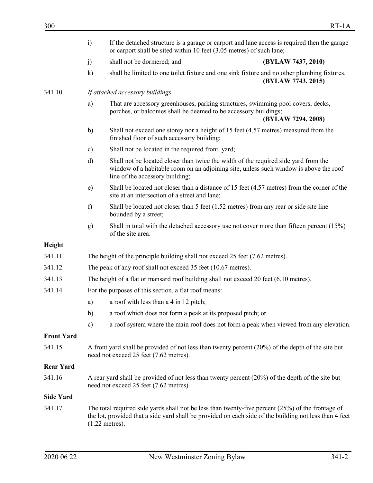|                   | If the detached structure is a garage or carport and lane access is required then the garage<br>$\ddot{i}$<br>or carport shall be sited within 10 feet (3.05 metres) of such lane; |                                                                                                                                                      |                                                                                                                                                                                                               |
|-------------------|------------------------------------------------------------------------------------------------------------------------------------------------------------------------------------|------------------------------------------------------------------------------------------------------------------------------------------------------|---------------------------------------------------------------------------------------------------------------------------------------------------------------------------------------------------------------|
|                   | j)                                                                                                                                                                                 | shall not be dormered; and                                                                                                                           | (BYLAW 7437, 2010)                                                                                                                                                                                            |
|                   | $\mathbf{k}$                                                                                                                                                                       |                                                                                                                                                      | shall be limited to one toilet fixture and one sink fixture and no other plumbing fixtures.<br>(BYLAW 7743. 2015)                                                                                             |
| 341.10            |                                                                                                                                                                                    | If attached accessory buildings,                                                                                                                     |                                                                                                                                                                                                               |
|                   | a)                                                                                                                                                                                 | That are accessory greenhouses, parking structures, swimming pool covers, decks,<br>porches, or balconies shall be deemed to be accessory buildings; | (BYLAW 7294, 2008)                                                                                                                                                                                            |
|                   | b)                                                                                                                                                                                 | Shall not exceed one storey nor a height of 15 feet (4.57 metres) measured from the<br>finished floor of such accessory building;                    |                                                                                                                                                                                                               |
|                   | c)                                                                                                                                                                                 | Shall not be located in the required front yard;                                                                                                     |                                                                                                                                                                                                               |
|                   | $\mathbf{d}$                                                                                                                                                                       | Shall not be located closer than twice the width of the required side yard from the<br>line of the accessory building;                               | window of a habitable room on an adjoining site, unless such window is above the roof                                                                                                                         |
|                   | $\epsilon$ )                                                                                                                                                                       | site at an intersection of a street and lane;                                                                                                        | Shall be located not closer than a distance of 15 feet (4.57 metres) from the corner of the                                                                                                                   |
|                   | f)                                                                                                                                                                                 | Shall be located not closer than 5 feet $(1.52 \text{ metres})$ from any rear or side site line<br>bounded by a street;                              |                                                                                                                                                                                                               |
|                   | g)                                                                                                                                                                                 | of the site area.                                                                                                                                    | Shall in total with the detached accessory use not cover more than fifteen percent $(15%)$                                                                                                                    |
| Height            |                                                                                                                                                                                    |                                                                                                                                                      |                                                                                                                                                                                                               |
| 341.11            |                                                                                                                                                                                    | The height of the principle building shall not exceed 25 feet (7.62 metres).                                                                         |                                                                                                                                                                                                               |
| 341.12            |                                                                                                                                                                                    | The peak of any roof shall not exceed 35 feet (10.67 metres).                                                                                        |                                                                                                                                                                                                               |
| 341.13            | The height of a flat or mansard roof building shall not exceed 20 feet (6.10 metres).                                                                                              |                                                                                                                                                      |                                                                                                                                                                                                               |
| 341.14            |                                                                                                                                                                                    | For the purposes of this section, a flat roof means:                                                                                                 |                                                                                                                                                                                                               |
|                   | a)                                                                                                                                                                                 | a roof with less than a 4 in 12 pitch;                                                                                                               |                                                                                                                                                                                                               |
|                   | b)                                                                                                                                                                                 | a roof which does not form a peak at its proposed pitch; or                                                                                          |                                                                                                                                                                                                               |
|                   | $\mathbf{c})$                                                                                                                                                                      |                                                                                                                                                      | a roof system where the main roof does not form a peak when viewed from any elevation.                                                                                                                        |
| <b>Front Yard</b> |                                                                                                                                                                                    |                                                                                                                                                      |                                                                                                                                                                                                               |
| 341.15            |                                                                                                                                                                                    | need not exceed 25 feet (7.62 metres).                                                                                                               | A front yard shall be provided of not less than twenty percent $(20%)$ of the depth of the site but                                                                                                           |
| <b>Rear Yard</b>  |                                                                                                                                                                                    |                                                                                                                                                      |                                                                                                                                                                                                               |
| 341.16            |                                                                                                                                                                                    | A rear yard shall be provided of not less than twenty percent $(20%)$ of the depth of the site but<br>need not exceed 25 feet (7.62 metres).         |                                                                                                                                                                                                               |
| <b>Side Yard</b>  |                                                                                                                                                                                    |                                                                                                                                                      |                                                                                                                                                                                                               |
| 341.17            |                                                                                                                                                                                    | $(1.22$ metres).                                                                                                                                     | The total required side yards shall not be less than twenty-five percent $(25%)$ of the frontage of<br>the lot, provided that a side yard shall be provided on each side of the building not less than 4 feet |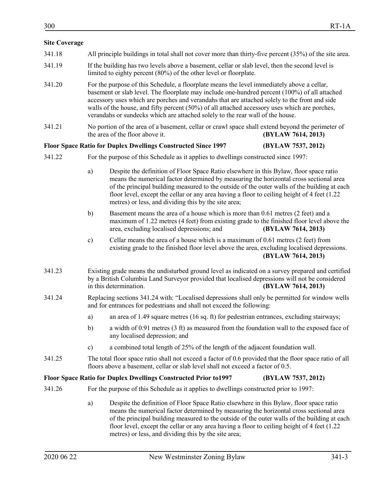# **Site Coverage**

- 341.19 If the building has two levels above a basement, cellar or slab level, then the second level is limited to eighty percent (80%) of the other level or floorplate.
- 341.20 For the purpose of this Schedule, a floorplate means the level immediately above a cellar, basement or slab level. The floorplate may include one-hundred percent (100%) of all attached accessory uses which are porches and verandahs that are attached solely to the front and side walls of the house, and fifty percent (50%) of all attached accessory uses which are porches, verandahs or sundecks which are attached solely to the rear wall of the house.
- 341.21 No portion of the area of a basement, cellar or crawl space shall extend beyond the perimeter of the area of the floor above it. **(BYLAW 7614, 2013)**

## **Floor Space Ratio for Duplex Dwellings Constructed Since 1997 (BYLAW 7537, 2012)**

- 341.22 For the purpose of this Schedule as it applies to dwellings constructed since 1997:
	- a) Despite the definition of Floor Space Ratio elsewhere in this Bylaw, floor space ratio means the numerical factor determined by measuring the horizontal cross sectional area of the principal building measured to the outside of the outer walls of the building at each floor level, except the cellar or any area having a floor to ceiling height of 4 feet (1.22 metres) or less, and dividing this by the site area;
	- b) Basement means the area of a house which is more than 0.61 metres (2 feet) and a maximum of 1.22 metres (4 feet) from existing grade to the finished floor level above the area, excluding localised depressions; and **(BYLAW 7614, 2013)**
	- c) Cellar means the area of a house which is a maximum of 0.61 metres (2 feet) from existing grade to the finished floor level above the area, excluding localised depressions. **(BYLAW 7614, 2013)**
- 341.23 Existing grade means the undisturbed ground level as indicated on a survey prepared and certified by a British Columbia Land Surveyor provided that localised depressions will not be considered in this determination. **(BYLAW 7614, 2013)**
- 341.24 Replacing sections 341.24 with: "Localised depressions shall only be permitted for window wells and for entrances for pedestrians and shall not exceed the following:
	- a) an area of 1.49 square metres (16 sq. ft) for pedestrian entrances, excluding stairways;
	- b) a width of 0.91 metres (3 ft) as measured from the foundation wall to the exposed face of any localised depression; and
	- c) a combined total length of 25% of the length of the adjacent foundation wall.
- 341.25 The total floor space ratio shall not exceed a factor of 0.6 provided that the floor space ratio of all floors above a basement, cellar or slab level shall not exceed a factor of 0.5.

# **Floor Space Ratio for Duplex Dwellings Constructed Prior to1997 (BYLAW 7537, 2012)**

- 341.26 For the purpose of this Schedule as it applies to dwellings constructed prior to 1997:
	- a) Despite the definition of Floor Space Ratio elsewhere in this Bylaw, floor space ratio means the numerical factor determined by measuring the horizontal cross sectional area of the principal building measured to the outside of the outer walls of the building at each floor level, except the cellar or any area having a floor to ceiling height of 4 feet (1.22 metres) or less, and dividing this by the site area;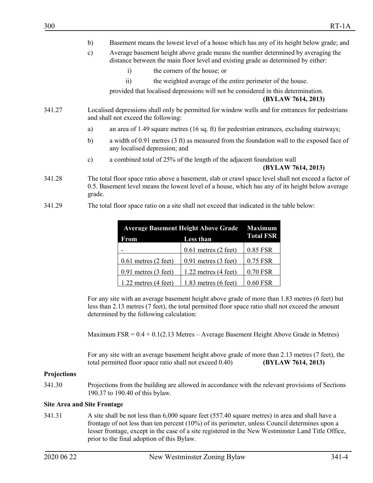- b) Basement means the lowest level of a house which has any of its height below grade; and
- c) Average basement height above grade means the number determined by averaging the distance between the main floor level and existing grade as determined by either:
	- i) the corners of the house; or
	- ii) the weighted average of the entire perimeter of the house.

provided that localised depressions will not be considered in this determination.

**(BYLAW 7614, 2013)**

- 341.27 Localised depressions shall only be permitted for window wells and for entrances for pedestrians and shall not exceed the following:
	- a) an area of 1.49 square metres (16 sq. ft) for pedestrian entrances, excluding stairways;
	- b) a width of 0.91 metres (3 ft) as measured from the foundation wall to the exposed face of any localised depression; and
	- c) a combined total of 25% of the length of the adjacent foundation wall

#### **(BYLAW 7614, 2013)**

- 341.28 The total floor space ratio above a basement, slab or crawl space level shall not exceed a factor of 0.5. Basement level means the lowest level of a house, which has any of its height below average grade.
- 341.29 The total floor space ratio on a site shall not exceed that indicated in the table below:

| <b>Average Basement Height Above Grade</b> |                          | <b>Maximum</b>   |
|--------------------------------------------|--------------------------|------------------|
| Less than<br>From                          |                          | <b>Total FSR</b> |
|                                            | $0.61$ metres $(2$ feet) | 0.85 FSR         |
| $0.61$ metres $(2 \text{ feet})$           | $0.91$ metres $(3$ feet) | 0.75 FSR         |
| $0.91$ metres $(3$ feet)                   | $1.22$ metres $(4$ feet) | 0.70 FSR         |
| 1.22 metres $(4 \text{ feet})$             | $1.83$ metres $(6$ feet) | 0.60 FSR         |

For any site with an average basement height above grade of more than 1.83 metres (6 feet) but less than 2.13 metres (7 feet), the total permitted floor space ratio shall not exceed the amount determined by the following calculation:

Maximum  $FSR = 0.4 + 0.1(2.13$  Metres – Average Basement Height Above Grade in Metres)

For any site with an average basement height above grade of more than 2.13 metres (7 feet), the total permitted floor space ratio shall not exceed 0.40) **(BYLAW 7614, 2013)**

#### **Projections**

341.30 Projections from the building are allowed in accordance with the relevant provisions of Sections 190.37 to 190.40 of this bylaw.

#### **Site Area and Site Frontage**

341.31 A site shall be not less than 6,000 square feet (557.40 square metres) in area and shall have a frontage of not less than ten percent (10%) of its perimeter, unless Council determines upon a lesser frontage, except in the case of a site registered in the New Westminster Land Title Office, prior to the final adoption of this Bylaw.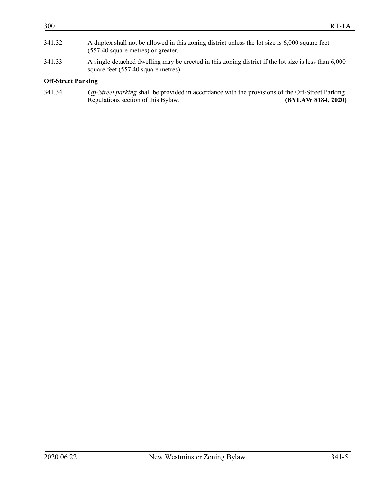# **Off-Street Parking**

| 341.34 | Off-Street parking shall be provided in accordance with the provisions of the Off-Street Parking |                    |
|--------|--------------------------------------------------------------------------------------------------|--------------------|
|        | Regulations section of this Bylaw.                                                               | (BYLAW 8184, 2020) |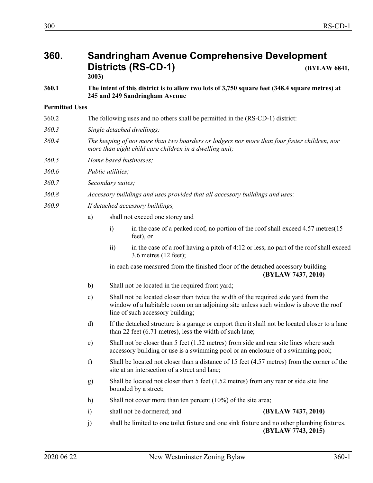# **360. Sandringham Avenue Comprehensive Development Districts (RS-CD-1) (BYLAW 6841,**

**2003)**

**360.1 The intent of this district is to allow two lots of 3,750 square feet (348.4 square metres) at 245 and 249 Sandringham Avenue**

# **Permitted Uses**

- 360.2 The following uses and no others shall be permitted in the (RS-CD-1) district:
- *360.3 Single detached dwellings;*
- *360.4 The keeping of not more than two boarders or lodgers nor more than four foster children, nor more than eight child care children in a dwelling unit;*
- *360.5 Home based businesses;*
- *360.6 Public utilities;*
- *360.7 Secondary suites;*
- *360.8 Accessory buildings and uses provided that all accessory buildings and uses:*
- *360.9 If detached accessory buildings,*
	- a) shall not exceed one storey and
		- i) in the case of a peaked roof, no portion of the roof shall exceed 4.57 metres (15) feet), or
			- ii) in the case of a roof having a pitch of 4:12 or less, no part of the roof shall exceed 3.6 metres (12 feet);

in each case measured from the finished floor of the detached accessory building. **(BYLAW 7437, 2010)**

- b) Shall not be located in the required front yard;
- c) Shall not be located closer than twice the width of the required side yard from the window of a habitable room on an adjoining site unless such window is above the roof line of such accessory building;
- d) If the detached structure is a garage or carport then it shall not be located closer to a lane than 22 feet (6.71 metres), less the width of such lane;
- e) Shall not be closer than 5 feet (1.52 metres) from side and rear site lines where such accessory building or use is a swimming pool or an enclosure of a swimming pool;
- f) Shall be located not closer than a distance of 15 feet (4.57 metres) from the corner of the site at an intersection of a street and lane;
- g) Shall be located not closer than 5 feet (1.52 metres) from any rear or side site line bounded by a street;
- h) Shall not cover more than ten percent (10%) of the site area;
- i) shall not be dormered; and **(BYLAW 7437, 2010)**

j) shall be limited to one toilet fixture and one sink fixture and no other plumbing fixtures. **(BYLAW 7743, 2015)**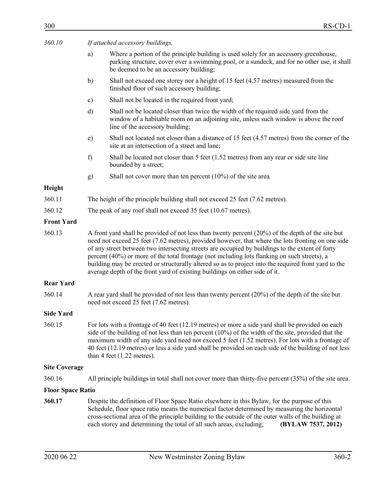| 360.10 | If attached accessory buildings, |  |
|--------|----------------------------------|--|
|        |                                  |  |

- a) Where a portion of the principle building is used solely for an accessory greenhouse, parking structure, cover over a swimming pool, or a sundeck, and for no other use, it shall be deemed to be an accessory building;
- b) Shall not exceed one storey nor a height of 15 feet (4.57 metres) measured from the finished floor of such accessory building;
- c) Shall not be located in the required front yard;
- d) Shall not be located closer than twice the width of the required side yard from the window of a habitable room on an adjoining site, unless such window is above the roof line of the accessory building;
- e) Shall not located not closer than a distance of 15 feet (4.57 metres) from the corner of the site at an intersection of a street and lane;
- f) Shall be located not closer than 5 feet (1.52 metres) from any rear or side site line bounded by a street;
- g) Shall not cover more than ten percent (10%) of the site area*.*

## **Height**

- 360.11 The height of the principle building shall not exceed 25 feet (7.62 metres).
- 360.12 The peak of any roof shall not exceed 35 feet (10.67 metres).

## **Front Yard**

360.13 A front yard shall be provided of not less than twenty percent (20%) of the depth of the site but need not exceed 25 feet (7.62 metres), provided however, that where the lots fronting on one side of any street between two intersecting streets are occupied by buildings to the extent of forty percent (40%) or more of the total frontage (not including lots flanking on such streets), a building may be erected or structurally altered so as to project into the required front yard to the average depth of the front yard of existing buildings on either side of it.

#### **Rear Yard**

360.14 A rear yard shall be provided of not less than twenty percent (20%) of the depth of the site but need not exceed 25 feet (7.62 metres).

# **Side Yard**

360.15 For lots with a frontage of 40 feet (12.19 metres) or more a side yard shall be provided on each side of the building of not less than ten percent  $(10\%)$  of the width of the site, provided that the maximum width of any side yard need not exceed 5 feet (1.52 metres). For lots with a frontage of 40 feet (12.19 metres) or less a side yard shall be provided on each side of the building of not less than 4 feet (1.22 metres).

# **Site Coverage**

360.16 All principle buildings in total shall not cover more than thirty-five percent (35%) of the site area.

# **Floor Space Ratio**

**360.17** Despite the definition of Floor Space Ratio elsewhere in this Bylaw, for the purpose of this Schedule, floor space ratio means the numerical factor determined by measuring the horizontal cross-sectional area of the principle building to the outside of the outer walls of the building at each storey and determining the total of all such areas, excluding; **(BYLAW 7537, 2012)**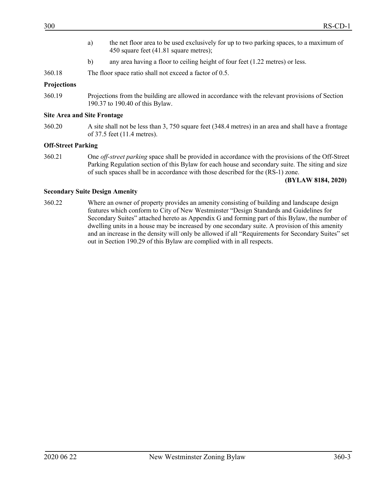- a) the net floor area to be used exclusively for up to two parking spaces, to a maximum of 450 square feet (41.81 square metres);
- b) any area having a floor to ceiling height of four feet (1.22 metres) or less.
- 360.18 The floor space ratio shall not exceed a factor of 0.5.

#### **Projections**

360.19 Projections from the building are allowed in accordance with the relevant provisions of Section 190.37 to 190.40 of this Bylaw.

#### **Site Area and Site Frontage**

360.20 A site shall not be less than 3, 750 square feet (348.4 metres) in an area and shall have a frontage of 37.5 feet (11.4 metres).

## **Off-Street Parking**

360.21 One *off-street parking* space shall be provided in accordance with the provisions of the Off-Street Parking Regulation section of this Bylaw for each house and secondary suite. The siting and size of such spaces shall be in accordance with those described for the (RS-1) zone.

**(BYLAW 8184, 2020)**

#### **Secondary Suite Design Amenity**

360.22 Where an owner of property provides an amenity consisting of building and landscape design features which conform to City of New Westminster "Design Standards and Guidelines for Secondary Suites" attached hereto as Appendix G and forming part of this Bylaw, the number of dwelling units in a house may be increased by one secondary suite. A provision of this amenity and an increase in the density will only be allowed if all "Requirements for Secondary Suites" set out in Section 190.29 of this Bylaw are complied with in all respects.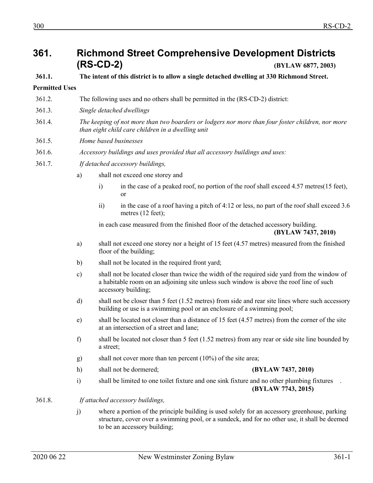# **361. Richmond Street Comprehensive Development Districts (RS-CD-2) (BYLAW 6877, 2003)**

# **361.1. The intent of this district is to allow a single detached dwelling at 330 Richmond Street.**

# **Permitted Uses**

- 361.2. The following uses and no others shall be permitted in the (RS-CD-2) district:
- 361.3. *Single detached dwellings*
- 361.4. *The keeping of not more than two boarders or lodgers nor more than four foster children, nor more than eight child care children in a dwelling unit*
- 361.5. *Home based businesses*
- 361.6. *Accessory buildings and uses provided that all accessory buildings and uses:*
- 361.7. *If detached accessory buildings,*
	- a) shall not exceed one storey and
		- i) in the case of a peaked roof, no portion of the roof shall exceed 4.57 metres(15 feet), or
		- ii) in the case of a roof having a pitch of 4:12 or less, no part of the roof shall exceed 3.6 metres (12 feet);

in each case measured from the finished floor of the detached accessory building.

**(BYLAW 7437, 2010)**

- a) shall not exceed one storey nor a height of 15 feet (4.57 metres) measured from the finished floor of the building;
- b) shall not be located in the required front yard;
- c) shall not be located closer than twice the width of the required side yard from the window of a habitable room on an adjoining site unless such window is above the roof line of such accessory building;
- d) shall not be closer than 5 feet (1.52 metres) from side and rear site lines where such accessory building or use is a swimming pool or an enclosure of a swimming pool;
- e) shall be located not closer than a distance of 15 feet (4.57 metres) from the corner of the site at an intersection of a street and lane;
- f) shall be located not closer than 5 feet (1.52 metres) from any rear or side site line bounded by a street;
- g) shall not cover more than ten percent (10%) of the site area;
- h) shall not be dormered; **(BYLAW 7437, 2010)**

- i) shall be limited to one toilet fixture and one sink fixture and no other plumbing fixtures **(BYLAW 7743, 2015)**
- 361.8. *If attached accessory buildings,*
	- j) where a portion of the principle building is used solely for an accessory greenhouse, parking structure, cover over a swimming pool, or a sundeck, and for no other use, it shall be deemed to be an accessory building;